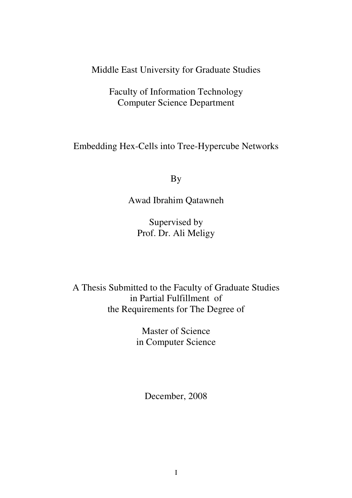Middle East University for Graduate Studies

Faculty of Information Technology Computer Science Department

Embedding Hex-Cells into Tree-Hypercube Networks

By

Awad Ibrahim Qatawneh

Supervised by Prof. Dr. Ali Meligy

A Thesis Submitted to the Faculty of Graduate Studies in Partial Fulfillment of the Requirements for The Degree of

> Master of Science in Computer Science

December, 2008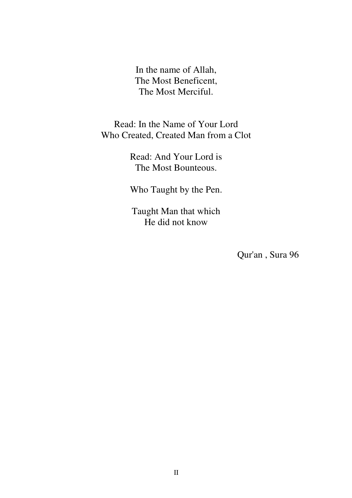In the name of Allah, The Most Beneficent, The Most Merciful.

Read: In the Name of Your Lord Who Created, Created Man from a Clot

> Read: And Your Lord is The Most Bounteous.

> Who Taught by the Pen.

Taught Man that which He did not know

Qur'an , Sura 96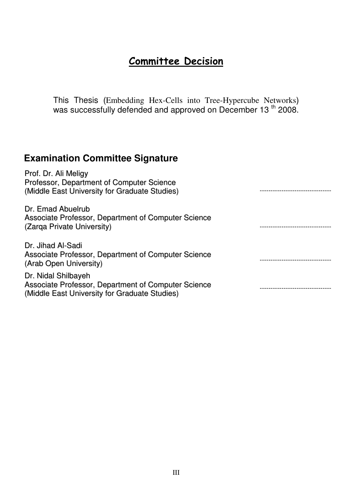# Committee Decision

This Thesis (Embedding Hex-Cells into Tree-Hypercube Networks) was successfully defended and approved on December 13<sup>th</sup> 2008.

---------------------------------

---------------------------------

---------------------------------

# **Examination Committee Signature**

Prof. Dr. Ali Meligy Professor, Department of Computer Science (Middle East University for Graduate Studies)

Dr. Emad Abuelrub Associate Professor, Department of Computer Science (Zarqa Private University) and the contract of the contract of the contract of the contract of the contract of

Dr. Jihad Al-Sadi Associate Professor, Department of Computer Science (Arab Open University)

Dr. Nidal Shilbayeh Associate Professor, Department of Computer Science (Middle East University for Graduate Studies)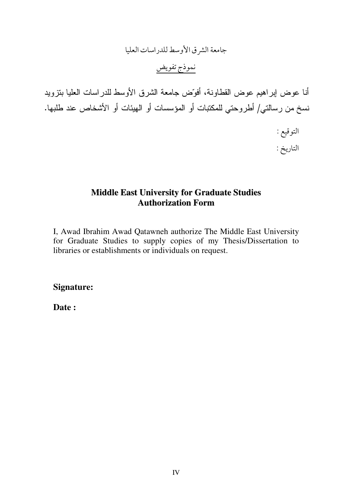# جامعة الشرق الأوسط للدراسات العليا

# نموذج تفويض

أنا عوض إبراهيم عوض القطاونة، أفوَّض جامعة الشرق الأوسط للدراسات العليا بتزويد نسخ من رسالتي/ أطروحتي للمكتبات أو المؤسسات أو الهيئات أو الأشخاص عند طلبها.

> التوقيع : التاريخ :

# **Middle East University for Graduate Studies Authorization Form**

I, Awad Ibrahim Awad Qatawneh authorize The Middle East University for Graduate Studies to supply copies of my Thesis/Dissertation to libraries or establishments or individuals on request.

**Signature:** 

Date :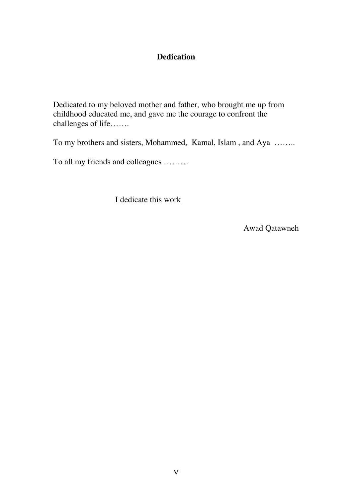# **Dedication**

Dedicated to my beloved mother and father, who brought me up from childhood educated me, and gave me the courage to confront the challenges of life…….

To my brothers and sisters, Mohammed, Kamal, Islam , and Aya ……..

To all my friends and colleagues ………

I dedicate this work

Awad Qatawneh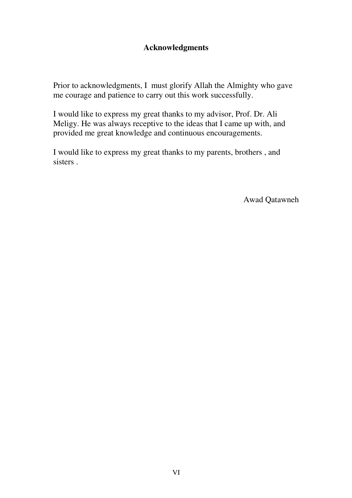# **Acknowledgments**

Prior to acknowledgments, I must glorify Allah the Almighty who gave me courage and patience to carry out this work successfully.

I would like to express my great thanks to my advisor, Prof. Dr. Ali Meligy. He was always receptive to the ideas that I came up with, and provided me great knowledge and continuous encouragements.

I would like to express my great thanks to my parents, brothers , and sisters .

Awad Qatawneh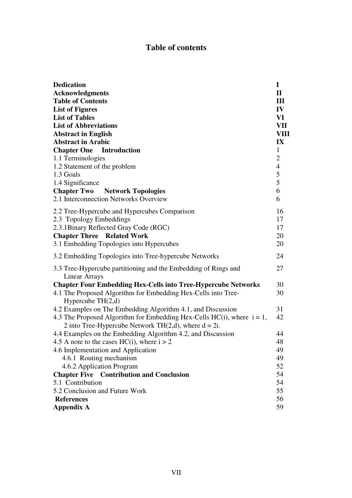# **Table of contents**

| <b>Dedication</b>                                                                      | $\mathbf I$    |
|----------------------------------------------------------------------------------------|----------------|
| <b>Acknowledgments</b>                                                                 | $\mathbf{I}$   |
| <b>Table of Contents</b>                                                               | III            |
| <b>List of Figures</b>                                                                 | IV             |
| <b>List of Tables</b>                                                                  | VI             |
| <b>List of Abbreviations</b>                                                           | VII            |
| <b>Abstract in English</b>                                                             | VIII           |
| <b>Abstract in Arabic</b>                                                              | IX             |
| <b>Chapter One</b> Introduction                                                        | $\mathbf{1}$   |
| 1.1 Terminologies                                                                      | $\overline{2}$ |
| 1.2 Statement of the problem                                                           | $\overline{4}$ |
| 1.3 Goals                                                                              | 5              |
| 1.4 Significance                                                                       | 5              |
| <b>Chapter Two</b><br><b>Network Topologies</b>                                        | 6              |
| 2.1 Interconnection Networks Overview                                                  | 6              |
| 2.2 Tree-Hypercube and Hypercubes Comparison                                           | 16             |
| 2.3 Topology Embeddings                                                                | 17             |
| 2.3.1 Binary Reflected Gray Code (RGC)                                                 | 17             |
| <b>Chapter Three Related Work</b>                                                      | 20             |
| 3.1 Embedding Topologies into Hypercubes                                               | 20             |
| 3.2 Embedding Topologies into Tree-hypercube Networks                                  | 24             |
|                                                                                        | 27             |
| 3.3 Tree-Hypercube partitioning and the Embedding of Rings and<br><b>Linear Arrays</b> |                |
| <b>Chapter Four Embedding Hex-Cells into Tree-Hypercube Networks</b>                   | 30             |
| 4.1 The Proposed Algorithm for Embedding Hex-Cells into Tree-                          | 30             |
| Hypercube $TH(2,d)$                                                                    |                |
| 4.2 Examples on The Embedding Algorithm 4.1, and Discussion                            | 31             |
| 4.3 The Proposed Algorithm for Embedding Hex-Cells HC(i), where $i = 1$ ,              | 42             |
| 2 into Tree-Hypercube Network TH $(2,d)$ , where $d = 2i$ .                            |                |
| 4.4 Examples on the Embedding Algorithm 4.2, and Discussion                            | 44             |
| 4.5 A note to the cases HC(i), where $i > 2$                                           | 48             |
| 4.6 Implementation and Application                                                     | 49             |
| 4.6.1 Routing mechanism                                                                | 49             |
| 4.6.2 Application Program                                                              | 52             |
| <b>Chapter Five</b> Contribution and Conclusion                                        | 54             |
| 5.1 Contribution                                                                       | 54             |
| 5.2 Conclusion and Future Work                                                         | 55             |
| <b>References</b>                                                                      | 56             |
| <b>Appendix A</b>                                                                      | 59             |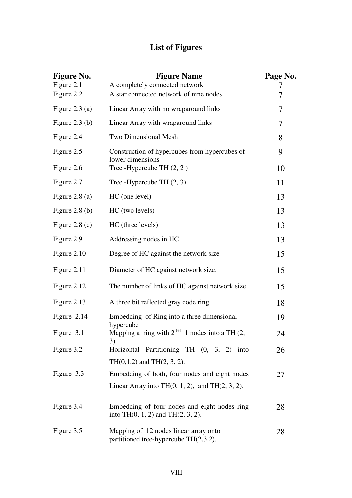# **List of Figures**

| <b>Figure No.</b> | <b>Figure Name</b>                                                                       | Page No. |  |  |
|-------------------|------------------------------------------------------------------------------------------|----------|--|--|
| Figure 2.1        | $\frac{1}{2}$                                                                            |          |  |  |
| Figure 2.2        | A star connected network of nine nodes                                                   | 7        |  |  |
| Figure 2.3 (a)    | Linear Array with no wraparound links                                                    | 7        |  |  |
| Figure $2.3$ (b)  | Linear Array with wraparound links                                                       | 7        |  |  |
| Figure 2.4        | Two Dimensional Mesh                                                                     | 8        |  |  |
| Figure 2.5        | Construction of hypercubes from hypercubes of<br>lower dimensions                        | 9        |  |  |
| Figure 2.6        | Tree -Hypercube TH (2, 2)                                                                | 10       |  |  |
| Figure 2.7        | Tree -Hypercube TH $(2, 3)$                                                              | 11       |  |  |
| Figure $2.8$ (a)  | HC (one level)                                                                           | 13       |  |  |
| Figure 2.8 (b)    | HC (two levels)                                                                          | 13       |  |  |
| Figure 2.8 $(c)$  | HC (three levels)                                                                        | 13       |  |  |
| Figure 2.9        | Addressing nodes in HC                                                                   | 13       |  |  |
| Figure 2.10       | Degree of HC against the network size                                                    | 15       |  |  |
| Figure 2.11       | Diameter of HC against network size.                                                     | 15       |  |  |
| Figure 2.12       | The number of links of HC against network size                                           | 15       |  |  |
| Figure 2.13       | A three bit reflected gray code ring                                                     | 18       |  |  |
| Figure 2.14       | Embedding of Ring into a three dimensional<br>hypercube                                  | 19       |  |  |
| Figure 3.1        | Mapping a ring with $2^{d+1}$ 1 nodes into a TH (2,<br>3)                                | 24       |  |  |
| Figure 3.2        | Horizontal Partitioning TH $(0, 3, 2)$ into                                              | 26       |  |  |
|                   | $TH(0,1,2)$ and $TH(2, 3, 2)$ .                                                          |          |  |  |
| Figure 3.3        | Embedding of both, four nodes and eight nodes                                            | 27       |  |  |
|                   | Linear Array into TH $(0, 1, 2)$ , and TH $(2, 3, 2)$ .                                  |          |  |  |
| Figure 3.4        | Embedding of four nodes and eight nodes ring<br>into TH $(0, 1, 2)$ and TH $(2, 3, 2)$ . |          |  |  |
| Figure 3.5        | 28                                                                                       |          |  |  |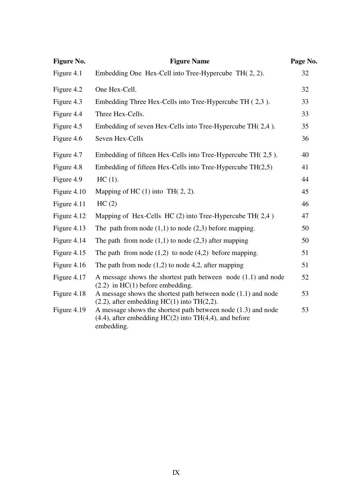| <b>Figure No.</b> | <b>Figure Name</b>                                                                                                                             | Page No. |  |
|-------------------|------------------------------------------------------------------------------------------------------------------------------------------------|----------|--|
| Figure 4.1        | Embedding One Hex-Cell into Tree-Hypercube TH(2, 2).                                                                                           | 32       |  |
| Figure 4.2        | One Hex-Cell.                                                                                                                                  | 32       |  |
| Figure 4.3        | Embedding Three Hex-Cells into Tree-Hypercube TH (2,3).                                                                                        | 33       |  |
| Figure 4.4        | Three Hex-Cells.                                                                                                                               | 33       |  |
| Figure 4.5        | Embedding of seven Hex-Cells into Tree-Hypercube TH(2,4).                                                                                      | 35       |  |
| Figure 4.6        | Seven Hex-Cells                                                                                                                                | 36       |  |
| Figure 4.7        | Embedding of fifteen Hex-Cells into Tree-Hypercube TH(2,5).                                                                                    | 40       |  |
| Figure 4.8        | Embedding of fifteen Hex-Cells into Tree-Hypercube $TH(2,5)$                                                                                   | 41       |  |
| Figure 4.9        | $HC(1)$ .                                                                                                                                      | 44       |  |
| Figure 4.10       | Mapping of HC $(1)$ into TH $(2, 2)$ .                                                                                                         | 45       |  |
| Figure 4.11       | HC(2)                                                                                                                                          | 46       |  |
| Figure 4.12       | Mapping of Hex-Cells HC (2) into Tree-Hypercube TH(2,4)                                                                                        | 47       |  |
| Figure 4.13       | The path from node $(1,1)$ to node $(2,3)$ before mapping.                                                                                     | 50       |  |
| Figure 4.14       | The path from node $(1,1)$ to node $(2,3)$ after mapping                                                                                       | 50       |  |
| Figure 4.15       | The path from node $(1,2)$ to node $(4,2)$ before mapping.                                                                                     | 51       |  |
| Figure 4.16       | The path from node $(1,2)$ to node 4,2, after mapping                                                                                          | 51       |  |
| Figure 4.17       | A message shows the shortest path between node $(1.1)$ and node<br>$(2.2)$ in HC(1) before embedding.                                          | 52       |  |
| Figure 4.18       | A message shows the shortest path between node (1.1) and node<br>$(2.2)$ , after embedding HC $(1)$ into TH $(2,2)$ .                          | 53       |  |
| Figure 4.19       | A message shows the shortest path between node (1.3) and node<br>$(4.4)$ , after embedding HC $(2)$ into TH $(4,4)$ , and before<br>embedding. | 53       |  |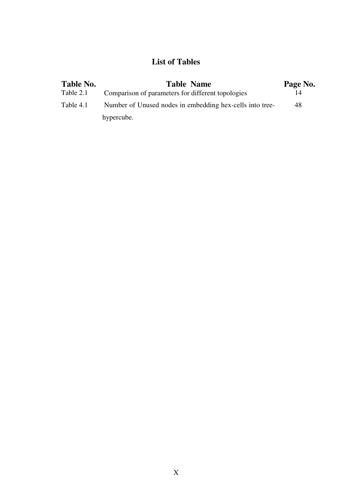# **List of Tables**

| Table No. | <b>Table Name</b>                                        | Page No. |
|-----------|----------------------------------------------------------|----------|
| Table 2.1 | Comparison of parameters for different topologies        | 14       |
| Table 4.1 | Number of Unused nodes in embedding hex-cells into tree- | 48       |
|           | hypercube.                                               |          |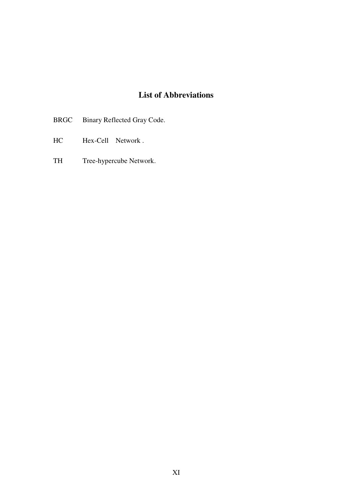# **List of Abbreviations**

- BRGC Binary Reflected Gray Code.
- HC Hex-Cell Network .
- TH Tree-hypercube Network.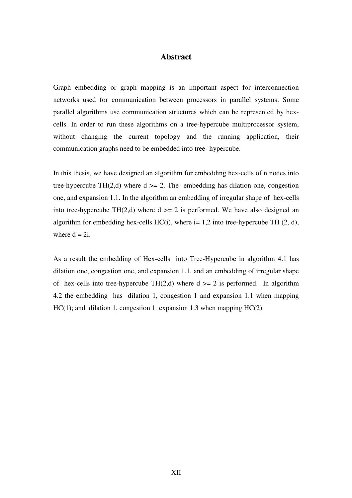## **Abstract**

Graph embedding or graph mapping is an important aspect for interconnection networks used for communication between processors in parallel systems. Some parallel algorithms use communication structures which can be represented by hexcells. In order to run these algorithms on a tree-hypercube multiprocessor system, without changing the current topology and the running application, their communication graphs need to be embedded into tree- hypercube.

In this thesis, we have designed an algorithm for embedding hex-cells of n nodes into tree-hypercube TH(2,d) where  $d \ge 2$ . The embedding has dilation one, congestion one, and expansion 1.1. In the algorithm an embedding of irregular shape of hex-cells into tree-hypercube TH(2,d) where  $d \ge 2$  is performed. We have also designed an algorithm for embedding hex-cells  $HC(i)$ , where  $i= 1,2$  into tree-hypercube TH (2, d), where  $d = 2i$ .

As a result the embedding of Hex-cells into Tree-Hypercube in algorithm 4.1 has dilation one, congestion one, and expansion 1.1, and an embedding of irregular shape of hex-cells into tree-hypercube TH(2,d) where  $d \ge 2$  is performed. In algorithm 4.2 the embedding has dilation 1, congestion 1 and expansion 1.1 when mapping  $HC(1)$ ; and dilation 1, congestion 1 expansion 1.3 when mapping  $HC(2)$ .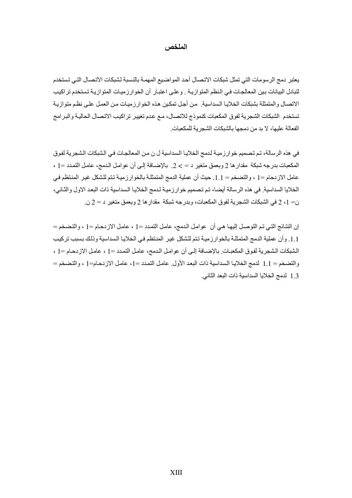## الملخص

يعتبر دمج الرسومات التي تمثل شبكات الاتصال أحد المواضيع المهمة بالنسبة لشبكات الاتصال التي تستخدم لتبادل البيانات بين المعالجات في النظم المتوازيـة . وعلـى اعتبـار أن الخوارزميـات المتوازيـة تستخدم تراكيب الاتصال والمتمثَّلة بشبكات الخلايا السداسية. من أجل تمكين هذه الخوارزميات من العمل على نظم متوازيـة تستخدم الشبكات الشجرية لفوق المكعبات كنموذج للاتصـال، مـع عدم تغيير تراكيب الاتـصـال الـحاليـة والبـرامج الفعالة عليها، لا بد من دمجها بالشبكات الشجرية للمكعبات

في هذه الرسالة، تم تصميم خوارزمية لدمج الخلايا السداسية ل ن من المعالجات في الشبكات الشجرية لفوق المكعبات بدرجه شبكة مقدار ها 2 وبعمق متغير د = > 2. بالإضـافة إلـى أن عوامل الـدمج، عامل التمـدد =[ ، عامل الازدحام =1 ، والتضخم = 1.1. حيث أن عملية الدمج المتمثلة بالخوارزميـة تتم للشكل غير المنتظم فـي الخلايا السداسية. في هذه الرسالة أيضـا، تـم تـصميم خوارزميـة لـدمج الخلايـا الـسداسية ذات البعـد الاول والثـاني، ن= 1، 2 في الشبكات الشجرية لفوق المكعبات، وبدرجه شبكة مقدار ها 2 وبعمق متغير د = 2 ن ِ

إن النتائج التي تم التوصـل إليهـا هـي أن عوامـل الـدمج، عامـل التمـدد =1 ، عامـل الاز دحـام =1 ، والتـضخم = 1.1. وأن عملية الدمج المتمثلة بالخوارزمية تتم للشكل غير المنتظم في الخلايا السداسية وذلك بسبب تركيب الشبكات الشجرية لفوق المكعبات بالإضـافة إلـى أن عوامـل الـدمج، عامـل التمـدد =1 ، عامـل الازدحـام =1 ، والتضخم = 1.1 لدمج الخلايـا الـسداسية ذات البعد الأول. عامل التمدد =1، عامل الازدحـام=1 ، والتـضخم = 1.3 لدمج الخلايا السداسية ذات البعد الثاني.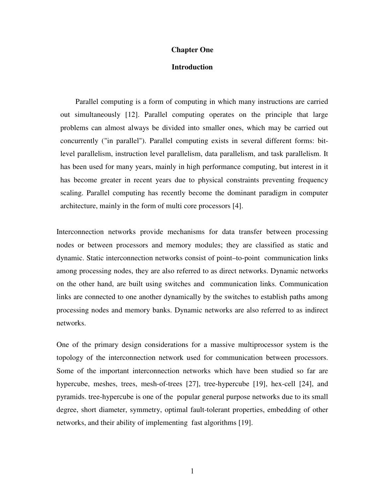#### **Chapter One**

#### **Introduction**

 Parallel computing is a form of computing in which many instructions are carried out simultaneously [12]. Parallel computing operates on the principle that large problems can almost always be divided into smaller ones, which may be carried out concurrently ("in parallel"). Parallel computing exists in several different forms: bitlevel parallelism, instruction level parallelism, data parallelism, and task parallelism. It has been used for many years, mainly in high performance computing, but interest in it has become greater in recent years due to physical constraints preventing frequency scaling. Parallel computing has recently become the dominant paradigm in computer architecture, mainly in the form of multi core processors [4].

Interconnection networks provide mechanisms for data transfer between processing nodes or between processors and memory modules; they are classified as static and dynamic. Static interconnection networks consist of point–to-point communication links among processing nodes, they are also referred to as direct networks. Dynamic networks on the other hand, are built using switches and communication links. Communication links are connected to one another dynamically by the switches to establish paths among processing nodes and memory banks. Dynamic networks are also referred to as indirect networks.

One of the primary design considerations for a massive multiprocessor system is the topology of the interconnection network used for communication between processors. Some of the important interconnection networks which have been studied so far are hypercube, meshes, trees, mesh-of-trees [27], tree-hypercube [19], hex-cell [24], and pyramids. tree-hypercube is one of the popular general purpose networks due to its small degree, short diameter, symmetry, optimal fault-tolerant properties, embedding of other networks, and their ability of implementing fast algorithms [19].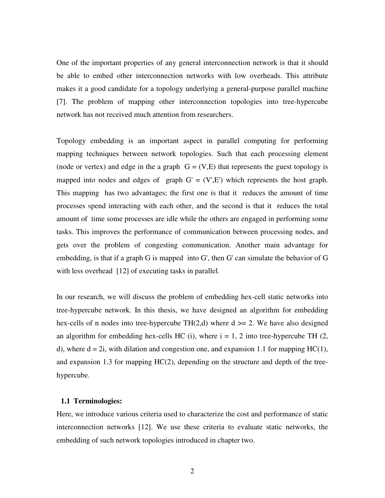One of the important properties of any general interconnection network is that it should be able to embed other interconnection networks with low overheads. This attribute makes it a good candidate for a topology underlying a general-purpose parallel machine [7]. The problem of mapping other interconnection topologies into tree-hypercube network has not received much attention from researchers.

Topology embedding is an important aspect in parallel computing for performing mapping techniques between network topologies. Such that each processing element (node or vertex) and edge in the a graph  $G = (V,E)$  that represents the guest topology is mapped into nodes and edges of graph  $G' = (V', E')$  which represents the host graph. This mapping has two advantages; the first one is that it reduces the amount of time processes spend interacting with each other, and the second is that it reduces the total amount of time some processes are idle while the others are engaged in performing some tasks. This improves the performance of communication between processing nodes, and gets over the problem of congesting communication. Another main advantage for embedding, is that if a graph G is mapped into G', then G' can simulate the behavior of G with less overhead [12] of executing tasks in parallel.

In our research, we will discuss the problem of embedding hex-cell static networks into tree-hypercube network. In this thesis, we have designed an algorithm for embedding hex-cells of n nodes into tree-hypercube  $TH(2,d)$  where  $d \ge 2$ . We have also designed an algorithm for embedding hex-cells HC (i), where  $i = 1, 2$  into tree-hypercube TH (2, d), where  $d = 2i$ , with dilation and congestion one, and expansion 1.1 for mapping  $HC(1)$ , and expansion 1.3 for mapping HC(2), depending on the structure and depth of the treehypercube.

#### **1.1 Terminologies:**

Here, we introduce various criteria used to characterize the cost and performance of static interconnection networks [12]. We use these criteria to evaluate static networks, the embedding of such network topologies introduced in chapter two.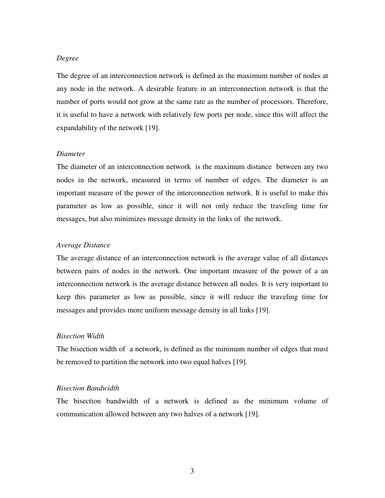### *Degree*

The degree of an interconnection network is defined as the maximum number of nodes at any node in the network. A desirable feature in an interconnection network is that the number of ports would not grow at the same rate as the number of processors. Therefore, it is useful to have a network with relatively few ports per node, since this will affect the expandability of the network [19].

#### *Diameter*

The diameter of an interconnection network is the maximum distance between any two nodes in the network, measured in terms of number of edges. The diameter is an important measure of the power of the interconnection network. It is useful to make this parameter as low as possible, since it will not only reduce the traveling time for messages, but also minimizes message density in the links of the network.

#### *Average Distance*

The average distance of an interconnection network is the average value of all distances between pairs of nodes in the network. One important measure of the power of a an interconnection network is the average distance between all nodes. It is very important to keep this parameter as low as possible, since it will reduce the traveling time for messages and provides more uniform message density in all links [19].

#### *Bisection Width*

The bisection width of a network, is defined as the minimum number of edges that must be removed to partition the network into two equal halves [19].

### *Bisection Bandwidth*

The bisection bandwidth of a network is defined as the minimum volume of communication allowed between any two halves of a network [19].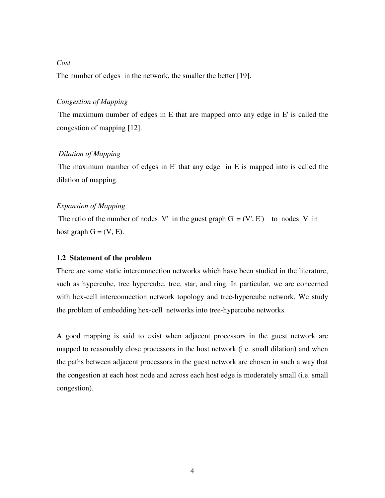## *Cost*

The number of edges in the network, the smaller the better [19].

#### *Congestion of Mapping*

 The maximum number of edges in E that are mapped onto any edge in E' is called the congestion of mapping [12].

## *Dilation of Mapping*

The maximum number of edges in E' that any edge in E is mapped into is called the dilation of mapping.

### *Expansion of Mapping*

The ratio of the number of nodes V' in the guest graph  $G' = (V', E')$  to nodes V in host graph  $G = (V, E)$ .

#### **1.2 Statement of the problem**

There are some static interconnection networks which have been studied in the literature, such as hypercube, tree hypercube, tree, star, and ring. In particular, we are concerned with hex-cell interconnection network topology and tree-hypercube network. We study the problem of embedding hex-cell networks into tree-hypercube networks.

A good mapping is said to exist when adjacent processors in the guest network are mapped to reasonably close processors in the host network (i.e. small dilation**)** and when the paths between adjacent processors in the guest network are chosen in such a way that the congestion at each host node and across each host edge is moderately small (i.e. small congestion).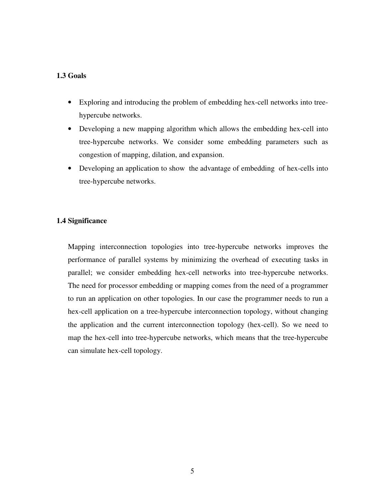## **1.3 Goals**

- Exploring and introducing the problem of embedding hex-cell networks into treehypercube networks.
- Developing a new mapping algorithm which allows the embedding hex-cell into tree-hypercube networks. We consider some embedding parameters such as congestion of mapping, dilation, and expansion.
- Developing an application to show the advantage of embedding of hex-cells into tree-hypercube networks.

#### **1.4 Significance**

Mapping interconnection topologies into tree-hypercube networks improves the performance of parallel systems by minimizing the overhead of executing tasks in parallel; we consider embedding hex-cell networks into tree-hypercube networks. The need for processor embedding or mapping comes from the need of a programmer to run an application on other topologies. In our case the programmer needs to run a hex-cell application on a tree-hypercube interconnection topology, without changing the application and the current interconnection topology (hex-cell). So we need to map the hex-cell into tree-hypercube networks, which means that the tree-hypercube can simulate hex-cell topology.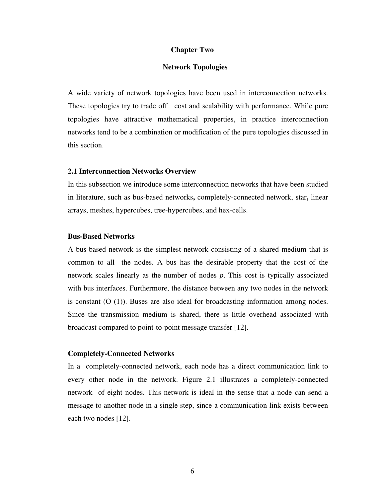#### **Chapter Two**

#### **Network Topologies**

A wide variety of network topologies have been used in interconnection networks. These topologies try to trade off cost and scalability with performance. While pure topologies have attractive mathematical properties, in practice interconnection networks tend to be a combination or modification of the pure topologies discussed in this section.

#### **2.1 Interconnection Networks Overview**

In this subsection we introduce some interconnection networks that have been studied in literature, such as bus-based networks**,** completely-connected network, star**,** linear arrays, meshes, hypercubes, tree-hypercubes, and hex-cells.

#### **Bus-Based Networks**

A bus-based network is the simplest network consisting of a shared medium that is common to all the nodes. A bus has the desirable property that the cost of the network scales linearly as the number of nodes *p*. This cost is typically associated with bus interfaces. Furthermore, the distance between any two nodes in the network is constant  $(O (1))$ . Buses are also ideal for broadcasting information among nodes. Since the transmission medium is shared, there is little overhead associated with broadcast compared to point-to-point message transfer [12].

#### **Completely-Connected Networks**

In a completely-connected network, each node has a direct communication link to every other node in the network. Figure 2.1 illustrates a completely-connected network of eight nodes. This network is ideal in the sense that a node can send a message to another node in a single step, since a communication link exists between each two nodes [12].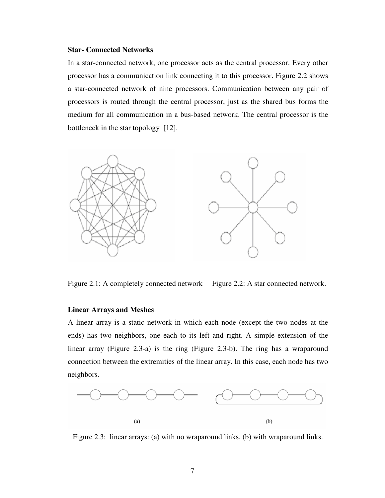#### **Star- Connected Networks**

In a star-connected network, one processor acts as the central processor. Every other processor has a communication link connecting it to this processor. Figure 2.2 shows a star-connected network of nine processors. Communication between any pair of processors is routed through the central processor, just as the shared bus forms the medium for all communication in a bus-based network. The central processor is the bottleneck in the star topology [12].



Figure 2.1: A completely connected network Figure 2.2: A star connected network.

#### **Linear Arrays and Meshes**

A linear array is a static network in which each node (except the two nodes at the ends) has two neighbors, one each to its left and right. A simple extension of the linear array (Figure 2.3-a) is the ring (Figure 2.3-b). The ring has a wraparound connection between the extremities of the linear array. In this case, each node has two neighbors.



Figure 2.3: linear arrays: (a) with no wraparound links, (b) with wraparound links.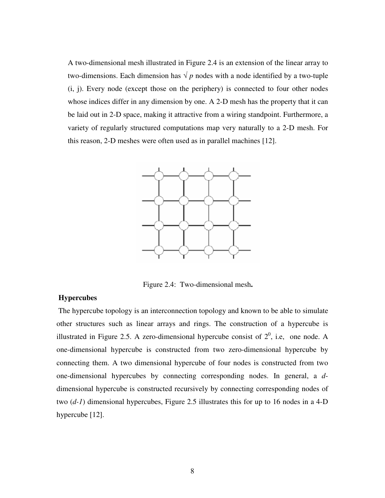A two-dimensional mesh illustrated in Figure 2.4 is an extension of the linear array to two-dimensions. Each dimension has  $\sqrt{p}$  nodes with a node identified by a two-tuple (i, j). Every node (except those on the periphery) is connected to four other nodes whose indices differ in any dimension by one. A 2-D mesh has the property that it can be laid out in 2-D space, making it attractive from a wiring standpoint. Furthermore, a variety of regularly structured computations map very naturally to a 2-D mesh. For this reason, 2-D meshes were often used as in parallel machines [12].



Figure 2.4: Two-dimensional mesh**.** 

#### **Hypercubes**

 The hypercube topology is an interconnection topology and known to be able to simulate other structures such as linear arrays and rings. The construction of a hypercube is illustrated in Figure 2.5. A zero-dimensional hypercube consist of  $2^0$ , i.e, one node. A one-dimensional hypercube is constructed from two zero-dimensional hypercube by connecting them. A two dimensional hypercube of four nodes is constructed from two one-dimensional hypercubes by connecting corresponding nodes. In general, a *d*dimensional hypercube is constructed recursively by connecting corresponding nodes of two (*d-1*) dimensional hypercubes, Figure 2.5 illustrates this for up to 16 nodes in a 4-D hypercube [12].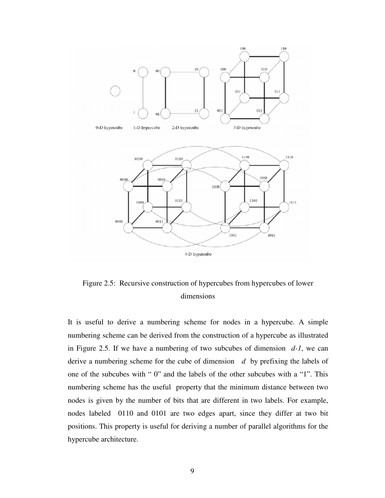

Figure 2.5: Recursive construction of hypercubes from hypercubes of lower dimensions

It is useful to derive a numbering scheme for nodes in a hypercube. A simple numbering scheme can be derived from the construction of a hypercube as illustrated in Figure 2.5. If we have a numbering of two subcubes of dimension *d-1*, we can derive a numbering scheme for the cube of dimension *d* by prefixing the labels of one of the subcubes with " 0" and the labels of the other subcubes with a "1". This numbering scheme has the useful property that the minimum distance between two nodes is given by the number of bits that are different in two labels. For example, nodes labeled 0110 and 0101 are two edges apart, since they differ at two bit positions. This property is useful for deriving a number of parallel algorithms for the hypercube architecture.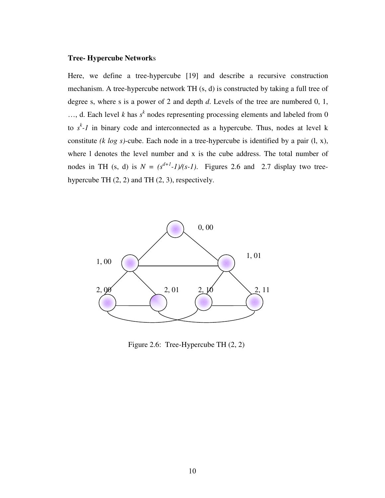#### **Tree- Hypercube Network**s

Here, we define a tree-hypercube [19] and describe a recursive construction mechanism. A tree-hypercube network TH (s, d) is constructed by taking a full tree of degree s, where s is a power of 2 and depth *d*. Levels of the tree are numbered 0, 1,  $...,$  d. Each level *k* has  $s<sup>k</sup>$  nodes representing processing elements and labeled from 0 to  $s^k$ -1 in binary code and interconnected as a hypercube. Thus, nodes at level k constitute *(k log s)*-cube. Each node in a tree-hypercube is identified by a pair (l, x), where l denotes the level number and x is the cube address. The total number of nodes in TH (s, d) is  $N = (s^{d+1}-1)/(s-1)$ . Figures 2.6 and 2.7 display two treehypercube TH (2, 2) and TH (2, 3), respectively.



Figure 2.6: Tree-Hypercube TH (2, 2)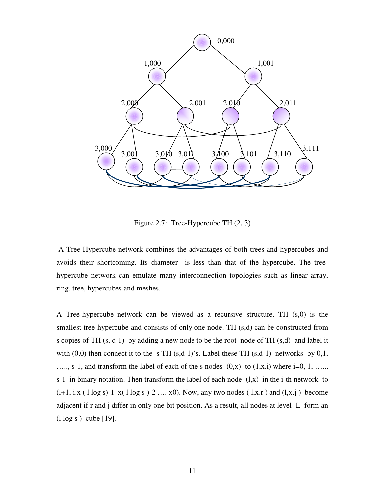

Figure 2.7: Tree-Hypercube TH (2, 3)

 A Tree-Hypercube network combines the advantages of both trees and hypercubes and avoids their shortcoming. Its diameter is less than that of the hypercube. The treehypercube network can emulate many interconnection topologies such as linear array, ring, tree, hypercubes and meshes.

A Tree-hypercube network can be viewed as a recursive structure. TH (s,0) is the smallest tree-hypercube and consists of only one node. TH  $(s,d)$  can be constructed from s copies of TH (s, d-1) by adding a new node to be the root node of TH (s,d) and label it with  $(0,0)$  then connect it to the s TH  $(s,d-1)$ 's. Label these TH  $(s,d-1)$  networks by 0,1, ...., s-1, and transform the label of each of the s nodes  $(0,x)$  to  $(1,x,i)$  where i=0, 1, ….. s-1 in binary notation. Then transform the label of each node  $(l,x)$  in the i-th network to  $(l+1, i.x (l \log s)-1 x(l \log s)-2 ... x0)$ . Now, any two nodes  $(l,x,r)$  and  $(l,x,i)$  become adjacent if r and j differ in only one bit position. As a result, all nodes at level L form an (l log s )–cube [19].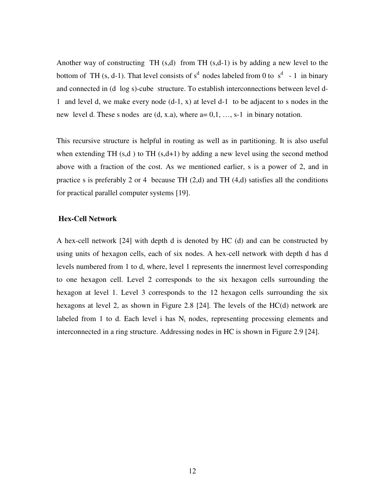Another way of constructing TH  $(s,d)$  from TH  $(s,d-1)$  is by adding a new level to the bottom of TH (s, d-1). That level consists of  $s^d$  nodes labeled from 0 to  $s^d$  - 1 in binary and connected in (d log s)-cube structure. To establish interconnections between level d-1 and level d, we make every node (d-1, x) at level d-1 to be adjacent to s nodes in the new level d. These s nodes are  $(d, x.a)$ , where  $a=0,1, ..., s-1$  in binary notation.

This recursive structure is helpful in routing as well as in partitioning. It is also useful when extending TH  $(s,d)$  to TH  $(s,d+1)$  by adding a new level using the second method above with a fraction of the cost. As we mentioned earlier, s is a power of 2, and in practice s is preferably 2 or 4 because TH  $(2,d)$  and TH  $(4,d)$  satisfies all the conditions for practical parallel computer systems [19].

### **Hex-Cell Network**

A hex-cell network [24] with depth d is denoted by HC (d) and can be constructed by using units of hexagon cells, each of six nodes. A hex-cell network with depth d has d levels numbered from 1 to d, where, level 1 represents the innermost level corresponding to one hexagon cell. Level 2 corresponds to the six hexagon cells surrounding the hexagon at level 1. Level 3 corresponds to the 12 hexagon cells surrounding the six hexagons at level 2, as shown in Figure 2.8 [24]. The levels of the HC(d) network are labeled from 1 to d. Each level i has  $N_i$  nodes, representing processing elements and interconnected in a ring structure. Addressing nodes in HC is shown in Figure 2.9 [24].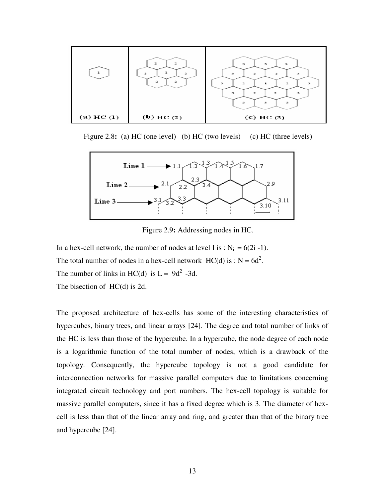

Figure 2.8: (a) HC (one level) (b) HC (two levels) (c) HC (three levels)



Figure 2.9**:** Addressing nodes in HC.

In a hex-cell network, the number of nodes at level I is :  $N_i = 6(2i - 1)$ . The total number of nodes in a hex-cell network  $HC(d)$  is :  $N = 6d^2$ . The number of links in HC(d) is  $L = 9d^2 - 3d$ .

The bisection of HC(d) is 2d.

The proposed architecture of hex-cells has some of the interesting characteristics of hypercubes, binary trees, and linear arrays [24]. The degree and total number of links of the HC is less than those of the hypercube. In a hypercube, the node degree of each node is a logarithmic function of the total number of nodes, which is a drawback of the topology. Consequently, the hypercube topology is not a good candidate for interconnection networks for massive parallel computers due to limitations concerning integrated circuit technology and port numbers. The hex-cell topology is suitable for massive parallel computers, since it has a fixed degree which is 3. The diameter of hexcell is less than that of the linear array and ring, and greater than that of the binary tree and hypercube [24].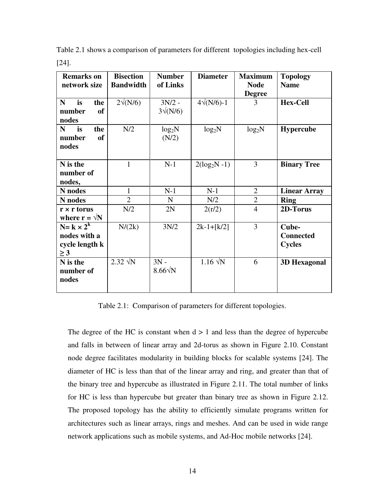| <b>Remarks on</b>        | <b>Bisection</b> | <b>Number</b>         | <b>Diameter</b>    | <b>Maximum</b>     | <b>Topology</b>     |
|--------------------------|------------------|-----------------------|--------------------|--------------------|---------------------|
| network size             | <b>Bandwidth</b> | of Links              |                    | <b>Node</b>        | <b>Name</b>         |
|                          |                  |                       |                    | <b>Degree</b>      |                     |
| $\mathbf N$<br>the<br>is | $2\sqrt{(N/6)}$  | $3N/2 -$              | $4\sqrt{(N/6)}-1$  | 3                  | <b>Hex-Cell</b>     |
| <b>of</b><br>number      |                  | $3\sqrt{\frac{N}{6}}$ |                    |                    |                     |
| nodes                    |                  |                       |                    |                    |                     |
| $\mathbf N$<br>is<br>the | N/2              | log <sub>2</sub> N    | log <sub>2</sub> N | log <sub>2</sub> N | Hypercube           |
| number<br>of             |                  | (N/2)                 |                    |                    |                     |
| nodes                    |                  |                       |                    |                    |                     |
|                          |                  |                       |                    |                    |                     |
| N is the                 | 1                | $N-1$                 | $2(log_2N-1)$      | 3                  | <b>Binary Tree</b>  |
| number of                |                  |                       |                    |                    |                     |
| nodes,                   |                  |                       |                    |                    |                     |
| N nodes                  | 1                | $N-1$                 | $N-1$              | $\overline{2}$     | <b>Linear Array</b> |
| N nodes                  | $\overline{2}$   | $\mathbf N$           | N/2                | $\overline{2}$     | <b>Ring</b>         |
| $r \times r$ torus       | N/2              | 2N                    | 2(r/2)             | $\overline{4}$     | 2D-Torus            |
| where $r = \sqrt{N}$     |                  |                       |                    |                    |                     |
| $N = k \times 2^{k}$     | N/(2k)           | 3N/2                  | $2k-1+[k/2]$       | 3                  | Cube-               |
| nodes with a             |                  |                       |                    |                    | <b>Connected</b>    |
| cycle length k           |                  |                       |                    |                    | <b>Cycles</b>       |
| $\geq$ 3                 |                  |                       |                    |                    |                     |
| N is the                 | $2.32 \sqrt{N}$  | $3N -$                | $1.16 \sqrt{N}$    | 6                  | <b>3D Hexagonal</b> |
| number of                |                  | $8.66\sqrt{N}$        |                    |                    |                     |
| nodes                    |                  |                       |                    |                    |                     |
|                          |                  |                       |                    |                    |                     |

Table 2.1 shows a comparison of parameters for different topologies including hex-cell [24].

Table 2.1: Comparison of parameters for different topologies.

The degree of the HC is constant when  $d > 1$  and less than the degree of hypercube and falls in between of linear array and 2d-torus as shown in Figure 2.10. Constant node degree facilitates modularity in building blocks for scalable systems [24]. The diameter of HC is less than that of the linear array and ring, and greater than that of the binary tree and hypercube as illustrated in Figure 2.11. The total number of links for HC is less than hypercube but greater than binary tree as shown in Figure 2.12. The proposed topology has the ability to efficiently simulate programs written for architectures such as linear arrays, rings and meshes. And can be used in wide range network applications such as mobile systems, and Ad-Hoc mobile networks [24].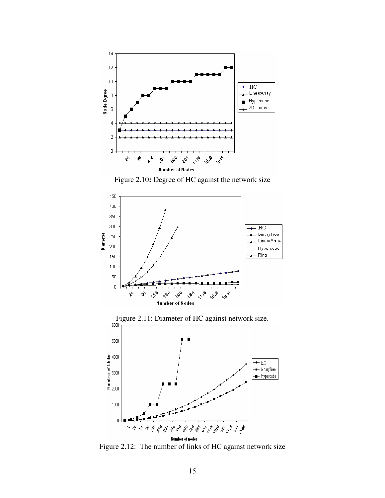

Figure 2.10**:** Degree of HC against the network size





Figure 2.12: The number of links of HC against network size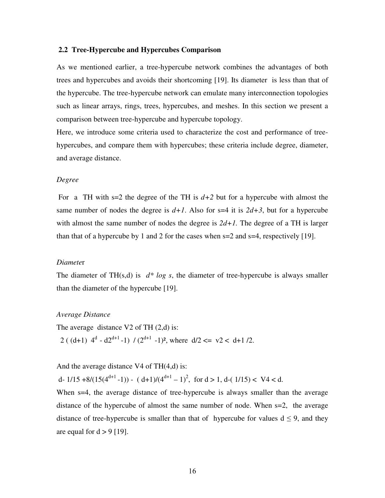#### **2.2 Tree-Hypercube and Hypercubes Comparison**

As we mentioned earlier, a tree-hypercube network combines the advantages of both trees and hypercubes and avoids their shortcoming [19]. Its diameter is less than that of the hypercube. The tree-hypercube network can emulate many interconnection topologies such as linear arrays, rings, trees, hypercubes, and meshes. In this section we present a comparison between tree-hypercube and hypercube topology.

Here, we introduce some criteria used to characterize the cost and performance of treehypercubes, and compare them with hypercubes; these criteria include degree, diameter, and average distance.

#### *Degree*

For a TH with s=2 the degree of the TH is  $d+2$  but for a hypercube with almost the same number of nodes the degree is  $d+1$ . Also for s=4 it is  $2d+3$ , but for a hypercube with almost the same number of nodes the degree is  $2d+1$ . The degree of a TH is larger than that of a hypercube by 1 and 2 for the cases when  $s=2$  and  $s=4$ , respectively [19].

#### *Diamete*r

The diameter of TH $(s,d)$  is  $d * log s$ , the diameter of tree-hypercube is always smaller than the diameter of the hypercube [19].

#### *Average Distance*

The average distance V2 of TH $(2,d)$  is: 2 (  $(d+1)$  4<sup>d</sup> -  $d2^{d+1}$  -1) /  $(2^{d+1}$  -1)<sup>2</sup>, where  $d/2 \le v2 \le d+1/2$ .

And the average distance V4 of  $TH(4,d)$  is:

d-  $1/15 + 8/(15(4^{d+1}-1)) - (d+1)/(4^{d+1}-1)^2$ , for d > 1, d-(1/15) < V4 < d.

When s=4, the average distance of tree-hypercube is always smaller than the average distance of the hypercube of almost the same number of node. When s=2, the average distance of tree-hypercube is smaller than that of hypercube for values  $d \le 9$ , and they are equal for  $d > 9$  [19].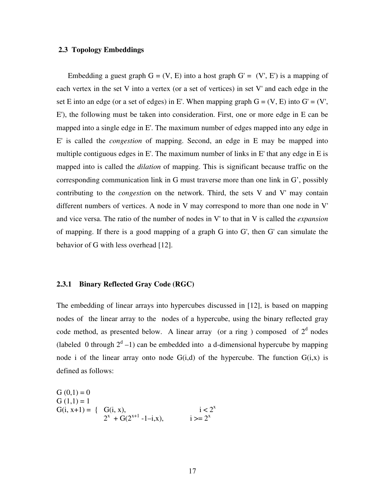#### **2.3 Topology Embeddings**

Embedding a guest graph  $G = (V, E)$  into a host graph  $G' = (V', E')$  is a mapping of each vertex in the set V into a vertex (or a set of vertices) in set V' and each edge in the set E into an edge (or a set of edges) in E'. When mapping graph  $G = (V, E)$  into  $G' = (V', E')$ E'), the following must be taken into consideration. First, one or more edge in E can be mapped into a single edge in E'. The maximum number of edges mapped into any edge in E' is called the *congestion* of mapping. Second, an edge in E may be mapped into multiple contiguous edges in E'. The maximum number of links in E' that any edge in E is mapped into is called the *dilation* of mapping. This is significant because traffic on the corresponding communication link in G must traverse more than one link in G', possibly contributing to the *congestio*n on the network. Third, the sets V and V' may contain different numbers of vertices. A node in V may correspond to more than one node in V' and vice versa. The ratio of the number of nodes in V' to that in V is called the *expansion* of mapping. If there is a good mapping of a graph G into G', then G' can simulate the behavior of G with less overhead [12].

### **2.3.1 Binary Reflected Gray Code (RGC)**

The embedding of linear arrays into hypercubes discussed in [12], is based on mapping nodes of the linear array to the nodes of a hypercube, using the binary reflected gray code method, as presented below. A linear array (or a ring ) composed of  $2<sup>d</sup>$  nodes (labeled 0 through  $2^d$  -1) can be embedded into a d-dimensional hypercube by mapping node i of the linear array onto node  $G(i,d)$  of the hypercube. The function  $G(i,x)$  is defined as follows:

G (0,1) = 0  
\nG (1,1) = 1  
\nG(i, x+1) = { G(i, x),  
\n
$$
2^{x} + G(2^{x+1} - 1-i,x),
$$
  $i >2^{x}$   
\n $i >2^{x}$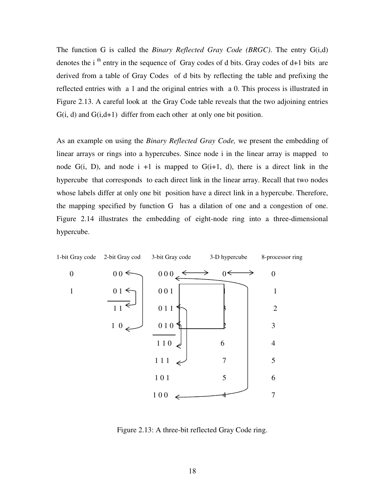The function G is called the *Binary Reflected Gray Code (BRGC)*. The entry G(i,d) denotes the i<sup>th</sup> entry in the sequence of Gray codes of d bits. Gray codes of  $d+1$  bits are derived from a table of Gray Codes of d bits by reflecting the table and prefixing the reflected entries with a 1 and the original entries with a 0. This process is illustrated in Figure 2.13. A careful look at the Gray Code table reveals that the two adjoining entries  $G(i, d)$  and  $G(i, d+1)$  differ from each other at only one bit position.

As an example on using the *Binary Reflected Gray Code,* we present the embedding of linear arrays or rings into a hypercubes. Since node i in the linear array is mapped to node  $G(i, D)$ , and node  $i +1$  is mapped to  $G(i+1, d)$ , there is a direct link in the hypercube that corresponds to each direct link in the linear array. Recall that two nodes whose labels differ at only one bit position have a direct link in a hypercube. Therefore, the mapping specified by function G has a dilation of one and a congestion of one. Figure 2.14 illustrates the embedding of eight-node ring into a three-dimensional hypercube.



Figure 2.13: A three-bit reflected Gray Code ring.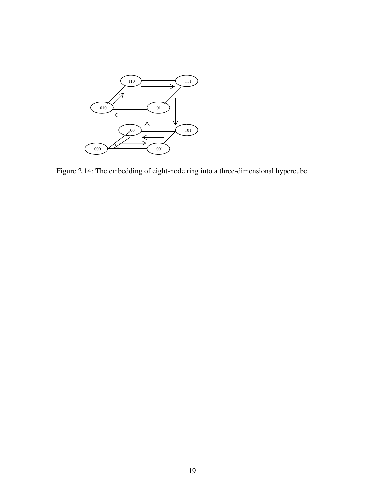

Figure 2.14: The embedding of eight-node ring into a three-dimensional hypercube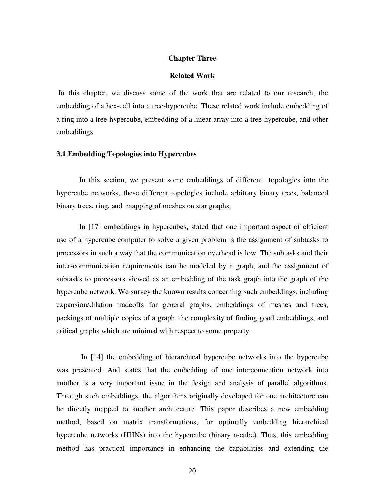#### **Chapter Three**

#### **Related Work**

 In this chapter, we discuss some of the work that are related to our research, the embedding of a hex-cell into a tree-hypercube. These related work include embedding of a ring into a tree-hypercube, embedding of a linear array into a tree-hypercube, and other embeddings.

#### **3.1 Embedding Topologies into Hypercubes**

 In this section, we present some embeddings of different topologies into the hypercube networks, these different topologies include arbitrary binary trees, balanced binary trees, ring, and mapping of meshes on star graphs.

 In [17] embeddings in hypercubes, stated that one important aspect of efficient use of a hypercube computer to solve a given problem is the assignment of subtasks to processors in such a way that the communication overhead is low. The subtasks and their inter-communication requirements can be modeled by a graph, and the assignment of subtasks to processors viewed as an embedding of the task graph into the graph of the hypercube network. We survey the known results concerning such embeddings, including expansion/dilation tradeoffs for general graphs, embeddings of meshes and trees, packings of multiple copies of a graph, the complexity of finding good embeddings, and critical graphs which are minimal with respect to some property.

 In [14] the embedding of hierarchical hypercube networks into the hypercube was presented. And states that the embedding of one interconnection network into another is a very important issue in the design and analysis of parallel algorithms. Through such embeddings, the algorithms originally developed for one architecture can be directly mapped to another architecture. This paper describes a new embedding method, based on matrix transformations, for optimally embedding hierarchical hypercube networks (HHNs) into the hypercube (binary n-cube). Thus, this embedding method has practical importance in enhancing the capabilities and extending the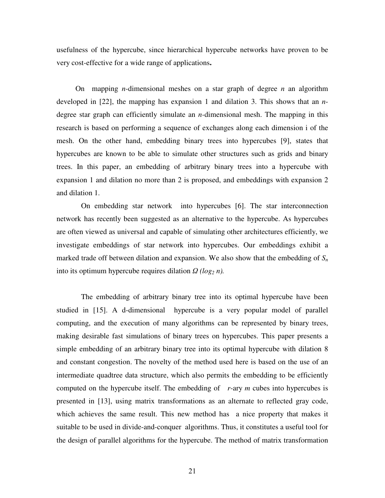usefulness of the hypercube, since hierarchical hypercube networks have proven to be very cost-effective for a wide range of applications**.** 

 On mapping *n*-dimensional meshes on a star graph of degree *n* an algorithm developed in [22], the mapping has expansion 1 and dilation 3. This shows that an *n*degree star graph can efficiently simulate an *n-*dimensional mesh. The mapping in this research is based on performing a sequence of exchanges along each dimension i of the mesh. On the other hand, embedding binary trees into hypercubes [9], states that hypercubes are known to be able to simulate other structures such as grids and binary trees. In this paper, an embedding of arbitrary binary trees into a hypercube with expansion 1 and dilation no more than 2 is proposed, and embeddings with expansion 2 and dilation 1.

 On embedding star network into hypercubes [6]. The star interconnection network has recently been suggested as an alternative to the hypercube. As hypercubes are often viewed as universal and capable of simulating other architectures efficiently, we investigate embeddings of star network into hypercubes. Our embeddings exhibit a marked trade off between dilation and expansion. We also show that the embedding of *S<sup>n</sup>* into its optimum hypercube requires dilation Ω *(log2 n).*

 The embedding of arbitrary binary tree into its optimal hypercube have been studied in [15]. A d-dimensional hypercube is a very popular model of parallel computing, and the execution of many algorithms can be represented by binary trees, making desirable fast simulations of binary trees on hypercubes. This paper presents a simple embedding of an arbitrary binary tree into its optimal hypercube with dilation 8 and constant congestion. The novelty of the method used here is based on the use of an intermediate quadtree data structure, which also permits the embedding to be efficiently computed on the hypercube itself. The embedding of *r*-ary *m* cubes into hypercubes is presented in [13], using matrix transformations as an alternate to reflected gray code, which achieves the same result. This new method has a nice property that makes it suitable to be used in divide-and-conquer algorithms. Thus, it constitutes a useful tool for the design of parallel algorithms for the hypercube. The method of matrix transformation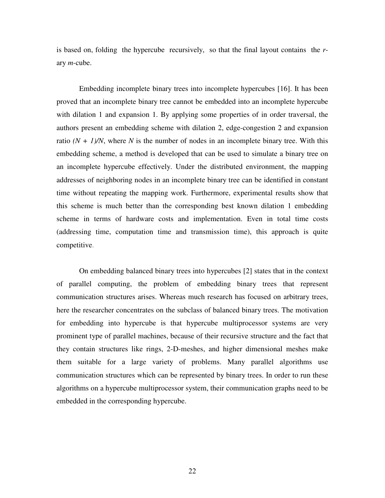is based on, folding the hypercube recursively, so that the final layout contains the *r*ary *m*-cube.

 Embedding incomplete binary trees into incomplete hypercubes [16]. It has been proved that an incomplete binary tree cannot be embedded into an incomplete hypercube with dilation 1 and expansion 1. By applying some properties of in order traversal, the authors present an embedding scheme with dilation 2, edge-congestion 2 and expansion ratio  $(N + 1)$ /N, where N is the number of nodes in an incomplete binary tree. With this embedding scheme, a method is developed that can be used to simulate a binary tree on an incomplete hypercube effectively. Under the distributed environment, the mapping addresses of neighboring nodes in an incomplete binary tree can be identified in constant time without repeating the mapping work. Furthermore, experimental results show that this scheme is much better than the corresponding best known dilation 1 embedding scheme in terms of hardware costs and implementation. Even in total time costs (addressing time, computation time and transmission time), this approach is quite competitive.

 On embedding balanced binary trees into hypercubes [2] states that in the context of parallel computing, the problem of embedding binary trees that represent communication structures arises. Whereas much research has focused on arbitrary trees, here the researcher concentrates on the subclass of balanced binary trees. The motivation for embedding into hypercube is that hypercube multiprocessor systems are very prominent type of parallel machines, because of their recursive structure and the fact that they contain structures like rings, 2-D-meshes, and higher dimensional meshes make them suitable for a large variety of problems. Many parallel algorithms use communication structures which can be represented by binary trees. In order to run these algorithms on a hypercube multiprocessor system, their communication graphs need to be embedded in the corresponding hypercube.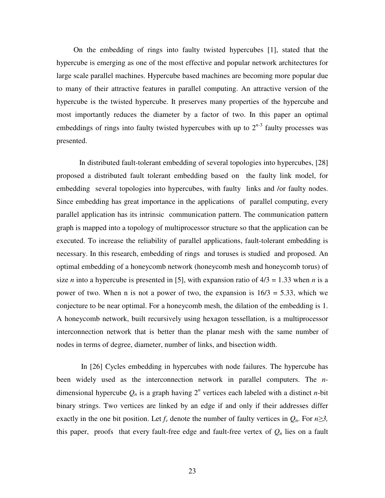On the embedding of rings into faulty twisted hypercubes [1], stated that the hypercube is emerging as one of the most effective and popular network architectures for large scale parallel machines. Hypercube based machines are becoming more popular due to many of their attractive features in parallel computing. An attractive version of the hypercube is the twisted hypercube. It preserves many properties of the hypercube and most importantly reduces the diameter by a factor of two. In this paper an optimal embeddings of rings into faulty twisted hypercubes with up to  $2^{n-3}$  faulty processes was presented.

 In distributed fault-tolerant embedding of several topologies into hypercubes, [28] proposed a distributed fault tolerant embedding based on the faulty link model, for embedding several topologies into hypercubes, with faulty links and /or faulty nodes. Since embedding has great importance in the applications of parallel computing, every parallel application has its intrinsic communication pattern. The communication pattern graph is mapped into a topology of multiprocessor structure so that the application can be executed. To increase the reliability of parallel applications, fault-tolerant embedding is necessary. In this research, embedding of rings and toruses is studied and proposed. An optimal embedding of a honeycomb network (honeycomb mesh and honeycomb torus) of size *n* into a hypercube is presented in [5], with expansion ratio of  $4/3 = 1.33$  when *n* is a power of two. When n is not a power of two, the expansion is  $16/3 = 5.33$ , which we conjecture to be near optimal. For a honeycomb mesh, the dilation of the embedding is 1. A honeycomb network, built recursively using hexagon tessellation, is a multiprocessor interconnection network that is better than the planar mesh with the same number of nodes in terms of degree, diameter, number of links, and bisection width.

 In [26] Cycles embedding in hypercubes with node failures. The hypercube has been widely used as the interconnection network in parallel computers. The *n*dimensional hypercube  $Q_n$  is a graph having  $2^n$  vertices each labeled with a distinct *n*-bit binary strings. Two vertices are linked by an edge if and only if their addresses differ exactly in the one bit position. Let  $f<sub>v</sub>$  denote the number of faulty vertices in  $Q<sub>n</sub>$ . For  $n \geq 3$ , this paper, proofs that every fault-free edge and fault-free vertex of  $Q_n$  lies on a fault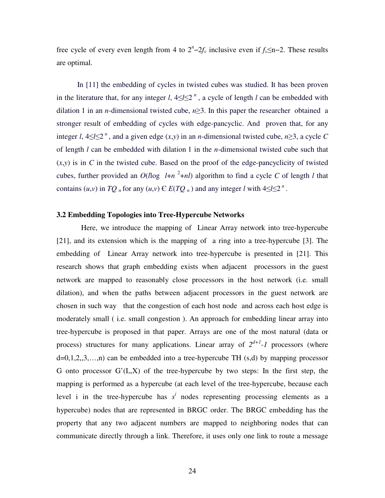free cycle of every even length from 4 to  $2^{n}$ - $2f_{v}$  inclusive even if  $f_{v}$ ≤n-2. These results are optimal.

 In [11] the embedding of cycles in twisted cubes was studied. It has been proven in the literature that, for any integer *l*,  $4 \le l \le 2^n$ , a cycle of length *l* can be embedded with dilation 1 in an *n*-dimensional twisted cube,  $n \geq 3$ . In this paper the researcher obtained a stronger result of embedding of cycles with edge-pancyclic. And proven that, for any integer *l*,  $4 \le l \le 2^n$ , and a given edge  $(x, y)$  in an *n*-dimensional twisted cube,  $n \ge 3$ , a cycle *C* of length *l* can be embedded with dilation 1 in the *n*-dimensional twisted cube such that  $(x, y)$  is in *C* in the twisted cube. Based on the proof of the edge-pancyclicity of twisted cubes, further provided an  $O(log \ t+n^2+n)$  algorithm to find a cycle C of length *l* that contains  $(u,v)$  in  $TQ_n$  for any  $(u,v) \in E(TQ_n)$  and any integer *l* with  $4 \le l \le 2^n$ .

### **3.2 Embedding Topologies into Tree-Hypercube Networks**

 Here, we introduce the mapping of Linear Array network into tree-hypercube [21], and its extension which is the mapping of a ring into a tree-hypercube [3]. The embedding of Linear Array network into tree-hypercube is presented in [21]. This research shows that graph embedding exists when adjacent processors in the guest network are mapped to reasonably close processors in the host network (i.e. small dilation), and when the paths between adjacent processors in the guest network are chosen in such way that the congestion of each host node and across each host edge is moderately small ( i.e. small congestion ). An approach for embedding linear array into tree-hypercube is proposed in that paper. Arrays are one of the most natural (data or process) structures for many applications. Linear array of  $2^{d+1}$ -1 processors (where  $d=0,1,2,3,...,n$  can be embedded into a tree-hypercube TH  $(s,d)$  by mapping processor G onto processor  $G'(L,X)$  of the tree-hypercube by two steps: In the first step, the mapping is performed as a hypercube (at each level of the tree-hypercube, because each level i in the tree-hypercube has  $s^i$  nodes representing processing elements as a hypercube) nodes that are represented in BRGC order. The BRGC embedding has the property that any two adjacent numbers are mapped to neighboring nodes that can communicate directly through a link. Therefore, it uses only one link to route a message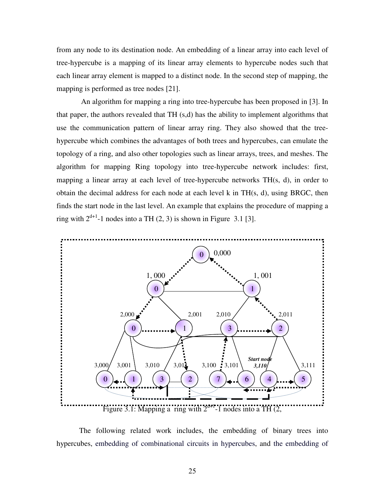from any node to its destination node. An embedding of a linear array into each level of tree-hypercube is a mapping of its linear array elements to hypercube nodes such that each linear array element is mapped to a distinct node. In the second step of mapping, the mapping is performed as tree nodes [21].

 An algorithm for mapping a ring into tree-hypercube has been proposed in [3]. In that paper, the authors revealed that TH (s,d) has the ability to implement algorithms that use the communication pattern of linear array ring. They also showed that the treehypercube which combines the advantages of both trees and hypercubes, can emulate the topology of a ring, and also other topologies such as linear arrays, trees, and meshes. The algorithm for mapping Ring topology into tree-hypercube network includes: first, mapping a linear array at each level of tree-hypercube networks TH(s, d), in order to obtain the decimal address for each node at each level k in TH(s, d), using BRGC, then finds the start node in the last level. An example that explains the procedure of mapping a ring with  $2^{d+1}$ -1 nodes into a TH (2, 3) is shown in Figure 3.1 [3].



 The following related work includes, the embedding of binary trees into hypercubes, embedding of combinational circuits in hypercubes, and the embedding of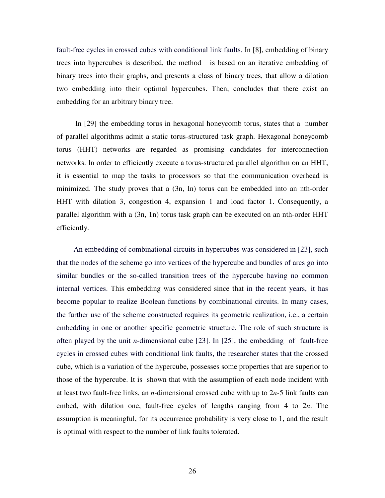fault-free cycles in crossed cubes with conditional link faults. In [8], embedding of binary trees into hypercubes is described, the method is based on an iterative embedding of binary trees into their graphs, and presents a class of binary trees, that allow a dilation two embedding into their optimal hypercubes. Then, concludes that there exist an embedding for an arbitrary binary tree.

 In [29] the embedding torus in hexagonal honeycomb torus, states that a number of parallel algorithms admit a static torus-structured task graph. Hexagonal honeycomb torus (HHT) networks are regarded as promising candidates for interconnection networks. In order to efficiently execute a torus-structured parallel algorithm on an HHT, it is essential to map the tasks to processors so that the communication overhead is minimized. The study proves that a (3n, In) torus can be embedded into an nth-order HHT with dilation 3, congestion 4, expansion 1 and load factor 1. Consequently, a parallel algorithm with a (3n, 1n) torus task graph can be executed on an nth-order HHT efficiently.

 An embedding of combinational circuits in hypercubes was considered in [23], such that the nodes of the scheme go into vertices of the hypercube and bundles of arcs go into similar bundles or the so-called transition trees of the hypercube having no common internal vertices. This embedding was considered since that in the recent years, it has become popular to realize Boolean functions by combinational circuits. In many cases, the further use of the scheme constructed requires its geometric realization, i.e., a certain embedding in one or another specific geometric structure. The role of such structure is often played by the unit *n*-dimensional cube [23]. In [25], the embedding of fault-free cycles in crossed cubes with conditional link faults, the researcher states that the crossed cube, which is a variation of the hypercube, possesses some properties that are superior to those of the hypercube. It is shown that with the assumption of each node incident with at least two fault-free links, an *n*-dimensional crossed cube with up to 2*n-*5 link faults can embed, with dilation one, fault-free cycles of lengths ranging from 4 to 2*n*. The assumption is meaningful, for its occurrence probability is very close to 1, and the result is optimal with respect to the number of link faults tolerated.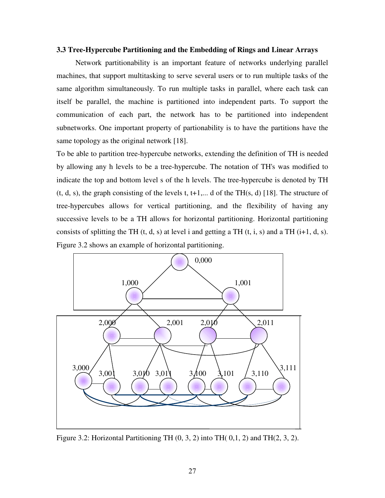### **3.3 Tree-Hypercube Partitioning and the Embedding of Rings and Linear Arrays**

 Network partitionability is an important feature of networks underlying parallel machines, that support multitasking to serve several users or to run multiple tasks of the same algorithm simultaneously. To run multiple tasks in parallel, where each task can itself be parallel, the machine is partitioned into independent parts. To support the communication of each part, the network has to be partitioned into independent subnetworks. One important property of partionability is to have the partitions have the same topology as the original network [18].

To be able to partition tree-hypercube networks, extending the definition of TH is needed by allowing any h levels to be a tree-hypercube. The notation of TH's was modified to indicate the top and bottom level s of the h levels. The tree-hypercube is denoted by TH (t, d, s), the graph consisting of the levels t,  $t+1$ ,... d of the TH(s, d) [18]. The structure of tree-hypercubes allows for vertical partitioning, and the flexibility of having any successive levels to be a TH allows for horizontal partitioning. Horizontal partitioning consists of splitting the TH  $(t, d, s)$  at level i and getting a TH  $(t, i, s)$  and a TH  $(i+1, d, s)$ . Figure 3.2 shows an example of horizontal partitioning.



Figure 3.2: Horizontal Partitioning TH  $(0, 3, 2)$  into TH $(0, 1, 2)$  and TH $(2, 3, 2)$ .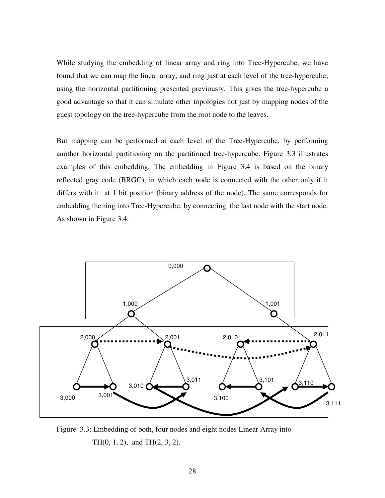While studying the embedding of linear array and ring into Tree-Hypercube, we have found that we can map the linear array, and ring just at each level of the tree-hypercube; using the horizontal partitioning presented previously. This gives the tree-hypercube a good advantage so that it can simulate other topologies not just by mapping nodes of the guest topology on the tree-hypercube from the root node to the leaves.

But mapping can be performed at each level of the Tree-Hypercube, by performing another horizontal partitioning on the partitioned tree-hypercube. Figure 3.3 illustrates examples of this embedding. The embedding in Figure 3.4 is based on the binary reflected gray code (BRGC), in which each node is connected with the other only if it differs with it at 1 bit position (binary address of the node). The same corresponds for embedding the ring into Tree-Hypercube, by connecting the last node with the start node. As shown in Figure 3.4.



Figure 3.3: Embedding of both, four nodes and eight nodes Linear Array into  $TH(0, 1, 2)$ , and  $TH(2, 3, 2)$ .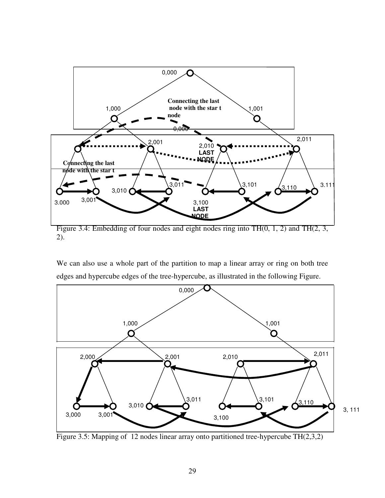

We can also use a whole part of the partition to map a linear array or ring on both tree edges and hypercube edges of the tree-hypercube, as illustrated in the following Figure.



Figure 3.5: Mapping of 12 nodes linear array onto partitioned tree-hypercube TH(2,3,2)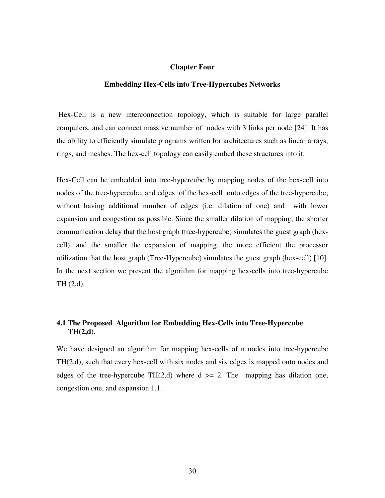### **Chapter Four**

### **Embedding Hex-Cells into Tree-Hypercubes Networks**

 Hex-Cell is a new interconnection topology, which is suitable for large parallel computers, and can connect massive number of nodes with 3 links per node [24]. It has the ability to efficiently simulate programs written for architectures such as linear arrays, rings, and meshes. The hex-cell topology can easily embed these structures into it.

Hex-Cell can be embedded into tree-hypercube by mapping nodes of the hex-cell into nodes of the tree-hypercube, and edges of the hex-cell onto edges of the tree-hypercube; without having additional number of edges (i.e. dilation of one) and with lower expansion and congestion as possible. Since the smaller dilation of mapping, the shorter communication delay that the host graph (tree-hypercube) simulates the guest graph (hexcell), and the smaller the expansion of mapping, the more efficient the processor utilization that the host graph (Tree-Hypercube) simulates the guest graph (hex-cell) [10]. In the next section we present the algorithm for mapping hex-cells into tree-hypercube TH (2,d).

## **4.1 The Proposed Algorithm for Embedding Hex-Cells into Tree-Hypercube TH(2,d).**

We have designed an algorithm for mapping hex-cells of n nodes into tree-hypercube TH(2,d); such that every hex-cell with six nodes and six edges is mapped onto nodes and edges of the tree-hypercube TH(2,d) where  $d \ge 2$ . The mapping has dilation one, congestion one, and expansion 1.1.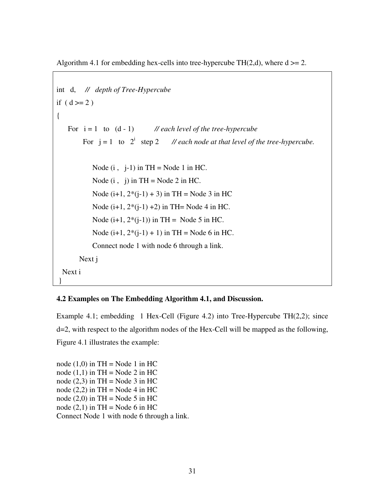Algorithm 4.1 for embedding hex-cells into tree-hypercube TH(2,d), where  $d \ge 2$ .

```
int d, // depth of Tree-Hypercube
if (d >= 2){ 
    For i = 1 to (d - 1) // each level of the tree-hypercube 
        For j = 1 to 2^{i} step 2
                                    // each node at that level of the tree-hypercube.
           Node (i, j-1) in TH = Node 1 in HC.
           Node (i, j) in TH = Node 2 in HC.
           Node (i+1, 2*(i-1) + 3) in TH = Node 3 in HC
           Node (i+1, 2*(j-1) + 2) in TH= Node 4 in HC.
           Node (i+1, 2*(i-1)) in TH = Node 5 in HC.
           Node (i+1, 2*(i-1) + 1) in TH = Node 6 in HC.
            Connect node 1 with node 6 through a link. 
       Next j 
  Next i 
 }
```
### **4.2 Examples on The Embedding Algorithm 4.1, and Discussion.**

Example 4.1; embedding 1 Hex-Cell (Figure 4.2) into Tree-Hypercube TH(2,2); since d=2, with respect to the algorithm nodes of the Hex-Cell will be mapped as the following, Figure 4.1 illustrates the example:

node  $(1,0)$  in TH = Node 1 in HC node  $(1,1)$  in TH = Node 2 in HC node  $(2,3)$  in TH = Node 3 in HC node  $(2,2)$  in TH = Node 4 in HC node  $(2,0)$  in TH = Node 5 in HC node  $(2,1)$  in TH = Node 6 in HC Connect Node 1 with node 6 through a link.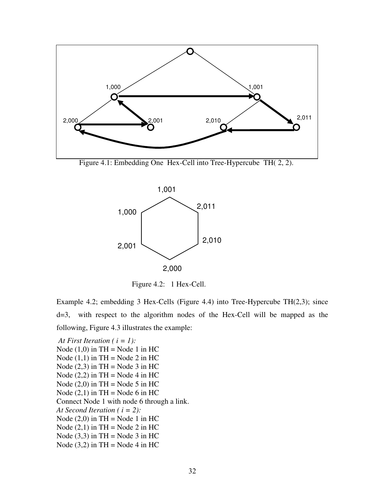

Figure 4.1: Embedding One Hex-Cell into Tree-Hypercube TH( 2, 2).



Figure 4.2: 1 Hex-Cell.

Example 4.2; embedding 3 Hex-Cells (Figure 4.4) into Tree-Hypercube TH(2,3); since d=3, with respect to the algorithm nodes of the Hex-Cell will be mapped as the following, Figure 4.3 illustrates the example:

*At First Iteration ( i = 1):*  Node  $(1,0)$  in TH = Node 1 in HC Node  $(1,1)$  in TH = Node 2 in HC Node  $(2,3)$  in TH = Node 3 in HC Node  $(2,2)$  in TH = Node 4 in HC Node  $(2,0)$  in TH = Node 5 in HC Node  $(2,1)$  in TH = Node 6 in HC Connect Node 1 with node 6 through a link. *At Second Iteration ( i = 2):*  Node  $(2,0)$  in TH = Node 1 in HC Node  $(2,1)$  in TH = Node 2 in HC Node  $(3,3)$  in TH = Node 3 in HC Node  $(3,2)$  in TH = Node 4 in HC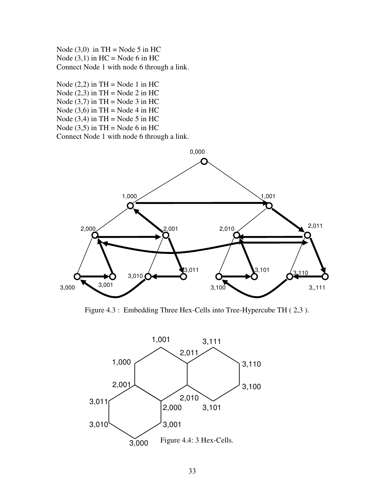Node  $(3,0)$  in TH = Node 5 in HC Node  $(3,1)$  in HC = Node 6 in HC Connect Node 1 with node 6 through a link.

Node  $(2,2)$  in TH = Node 1 in HC Node  $(2,3)$  in TH = Node 2 in HC Node  $(3,7)$  in TH = Node 3 in HC Node  $(3,6)$  in TH = Node 4 in HC Node  $(3,4)$  in TH = Node 5 in HC Node  $(3,5)$  in TH = Node 6 in HC Connect Node 1 with node 6 through a link.



Figure 4.3 : Embedding Three Hex-Cells into Tree-Hypercube TH ( 2,3 ).

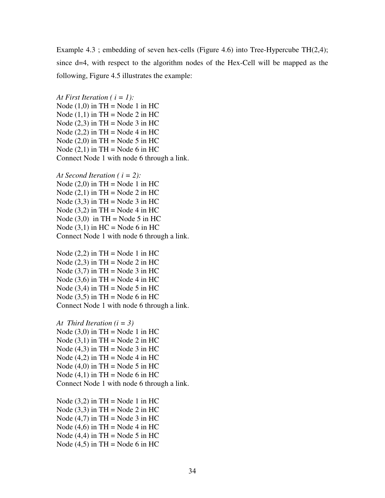Example 4.3; embedding of seven hex-cells (Figure 4.6) into Tree-Hypercube TH(2,4); since d=4, with respect to the algorithm nodes of the Hex-Cell will be mapped as the following, Figure 4.5 illustrates the example:

*At First Iteration ( i = 1):*  Node  $(1,0)$  in TH = Node 1 in HC Node  $(1,1)$  in TH = Node 2 in HC Node  $(2,3)$  in TH = Node 3 in HC Node  $(2,2)$  in TH = Node 4 in HC Node  $(2,0)$  in TH = Node 5 in HC Node  $(2.1)$  in TH = Node 6 in HC Connect Node 1 with node 6 through a link.

*At Second Iteration ( i = 2):*  Node  $(2,0)$  in TH = Node 1 in HC Node  $(2,1)$  in TH = Node 2 in HC Node  $(3,3)$  in TH = Node 3 in HC Node  $(3,2)$  in TH = Node 4 in HC Node  $(3,0)$  in TH = Node 5 in HC Node  $(3,1)$  in HC = Node 6 in HC Connect Node 1 with node 6 through a link.

Node  $(2,2)$  in TH = Node 1 in HC Node  $(2,3)$  in TH = Node 2 in HC Node  $(3,7)$  in TH = Node 3 in HC Node  $(3,6)$  in TH = Node 4 in HC Node  $(3,4)$  in TH = Node 5 in HC Node  $(3,5)$  in TH = Node 6 in HC Connect Node 1 with node 6 through a link.

*At Third Iteration (i = 3)*  Node  $(3,0)$  in TH = Node 1 in HC Node  $(3,1)$  in TH = Node 2 in HC Node  $(4,3)$  in TH = Node 3 in HC Node  $(4,2)$  in TH = Node 4 in HC Node  $(4,0)$  in TH = Node 5 in HC Node  $(4,1)$  in TH = Node 6 in HC Connect Node 1 with node 6 through a link.

Node  $(3,2)$  in TH = Node 1 in HC Node  $(3,3)$  in TH = Node 2 in HC Node  $(4,7)$  in TH = Node 3 in HC Node  $(4,6)$  in TH = Node 4 in HC Node  $(4,4)$  in TH = Node 5 in HC Node  $(4,5)$  in TH = Node 6 in HC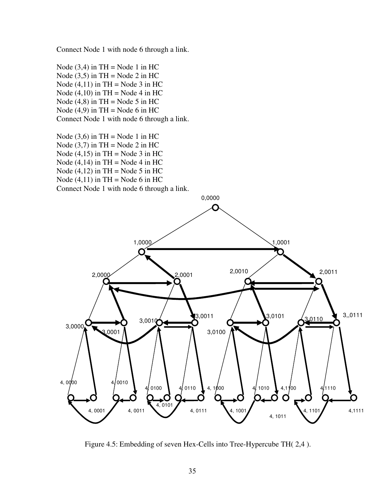Connect Node 1 with node 6 through a link.



Node  $(3,6)$  in TH = Node 1 in HC Node  $(3,7)$  in TH = Node 2 in HC Node  $(4,15)$  in TH = Node 3 in HC Node  $(4,14)$  in TH = Node 4 in HC Node  $(4,12)$  in TH = Node 5 in HC Node  $(4,11)$  in TH = Node 6 in HC Connect Node 1 with node 6 through a link.



Figure 4.5: Embedding of seven Hex-Cells into Tree-Hypercube TH( 2,4 ).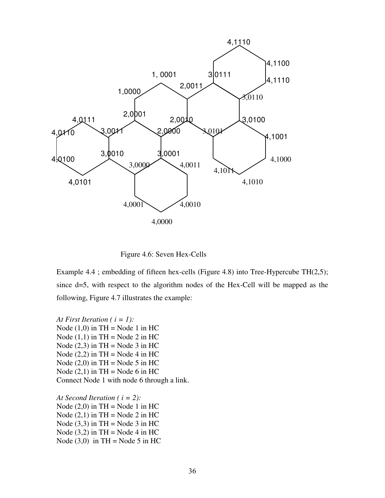

Figure 4.6: Seven Hex-Cells

Example 4.4 ; embedding of fifteen hex-cells (Figure 4.8) into Tree-Hypercube TH $(2,5)$ ; since d=5, with respect to the algorithm nodes of the Hex-Cell will be mapped as the following, Figure 4.7 illustrates the example:

*At First Iteration ( i = 1):*  Node  $(1,0)$  in TH = Node 1 in HC Node  $(1,1)$  in TH = Node 2 in HC Node  $(2,3)$  in TH = Node 3 in HC Node  $(2,2)$  in TH = Node 4 in HC Node  $(2,0)$  in TH = Node 5 in HC Node  $(2,1)$  in TH = Node 6 in HC Connect Node 1 with node 6 through a link.

*At Second Iteration ( i = 2):*  Node  $(2,0)$  in TH = Node 1 in HC Node  $(2,1)$  in TH = Node 2 in HC Node  $(3,3)$  in TH = Node 3 in HC Node  $(3,2)$  in TH = Node 4 in HC Node  $(3,0)$  in TH = Node 5 in HC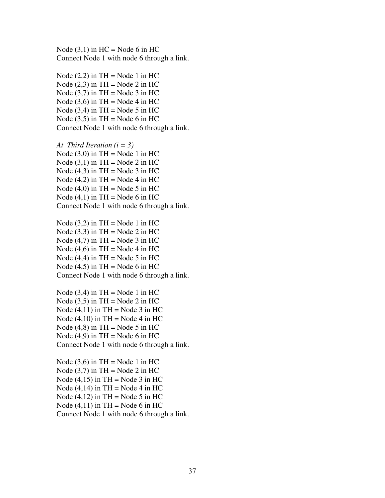Node  $(3,1)$  in HC = Node 6 in HC Connect Node 1 with node 6 through a link.

Node  $(2,2)$  in TH = Node 1 in HC Node  $(2,3)$  in TH = Node 2 in HC Node  $(3,7)$  in TH = Node 3 in HC Node  $(3,6)$  in TH = Node 4 in HC Node  $(3,4)$  in TH = Node 5 in HC Node  $(3,5)$  in TH = Node 6 in HC Connect Node 1 with node 6 through a link.

*At Third Iteration (i = 3)*  Node  $(3,0)$  in TH = Node 1 in HC Node  $(3,1)$  in TH = Node 2 in HC Node  $(4,3)$  in TH = Node 3 in HC Node  $(4,2)$  in TH = Node 4 in HC Node  $(4,0)$  in TH = Node 5 in HC Node  $(4,1)$  in TH = Node 6 in HC Connect Node 1 with node 6 through a link.

Node  $(3,2)$  in TH = Node 1 in HC Node  $(3,3)$  in TH = Node 2 in HC Node  $(4,7)$  in TH = Node 3 in HC Node  $(4,6)$  in TH = Node 4 in HC Node  $(4,4)$  in TH = Node 5 in HC Node  $(4,5)$  in TH = Node 6 in HC Connect Node 1 with node 6 through a link.

Node  $(3,4)$  in TH = Node 1 in HC Node  $(3,5)$  in TH = Node 2 in HC Node  $(4,11)$  in TH = Node 3 in HC Node  $(4,10)$  in TH = Node 4 in HC Node  $(4,8)$  in TH = Node 5 in HC Node  $(4,9)$  in TH = Node 6 in HC Connect Node 1 with node 6 through a link.

Node  $(3,6)$  in TH = Node 1 in HC Node  $(3,7)$  in TH = Node 2 in HC Node  $(4,15)$  in TH = Node 3 in HC Node  $(4,14)$  in TH = Node 4 in HC Node  $(4,12)$  in TH = Node 5 in HC Node  $(4,11)$  in TH = Node 6 in HC Connect Node 1 with node 6 through a link.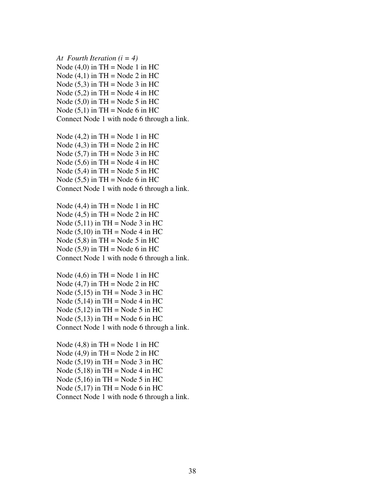*At Fourth Iteration (i = 4)*  Node  $(4,0)$  in TH = Node 1 in HC Node  $(4,1)$  in TH = Node 2 in HC Node  $(5,3)$  in TH = Node 3 in HC Node  $(5,2)$  in TH = Node 4 in HC Node  $(5,0)$  in TH = Node 5 in HC Node  $(5,1)$  in TH = Node 6 in HC Connect Node 1 with node 6 through a link.

Node  $(4,2)$  in TH = Node 1 in HC Node  $(4,3)$  in TH = Node 2 in HC Node  $(5,7)$  in TH = Node 3 in HC Node  $(5,6)$  in TH = Node 4 in HC Node  $(5,4)$  in TH = Node 5 in HC Node  $(5,5)$  in TH = Node 6 in HC Connect Node 1 with node 6 through a link.

Node  $(4,4)$  in TH = Node 1 in HC Node  $(4,5)$  in TH = Node 2 in HC Node  $(5,11)$  in TH = Node 3 in HC Node  $(5,10)$  in TH = Node 4 in HC Node  $(5,8)$  in TH = Node 5 in HC Node  $(5,9)$  in TH = Node 6 in HC Connect Node 1 with node 6 through a link.

Node  $(4,6)$  in TH = Node 1 in HC Node  $(4,7)$  in TH = Node 2 in HC Node  $(5,15)$  in TH = Node 3 in HC Node  $(5,14)$  in TH = Node 4 in HC Node  $(5,12)$  in TH = Node 5 in HC Node  $(5,13)$  in TH = Node 6 in HC Connect Node 1 with node 6 through a link.

Node  $(4,8)$  in TH = Node 1 in HC Node  $(4.9)$  in TH = Node 2 in HC Node  $(5,19)$  in TH = Node 3 in HC Node  $(5,18)$  in TH = Node 4 in HC Node  $(5,16)$  in TH = Node 5 in HC Node  $(5,17)$  in TH = Node 6 in HC Connect Node 1 with node 6 through a link.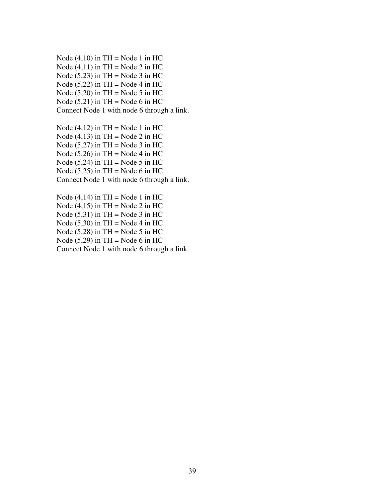Node  $(4,10)$  in TH = Node 1 in HC Node  $(4,11)$  in TH = Node 2 in HC Node  $(5,23)$  in TH = Node 3 in HC Node  $(5,22)$  in TH = Node 4 in HC Node  $(5,20)$  in TH = Node 5 in HC Node  $(5,21)$  in TH = Node 6 in HC Connect Node 1 with node 6 through a link.

Node  $(4,12)$  in TH = Node 1 in HC Node  $(4,13)$  in TH = Node 2 in HC Node  $(5,27)$  in TH = Node 3 in HC Node  $(5,26)$  in TH = Node 4 in HC Node  $(5,24)$  in TH = Node 5 in HC Node  $(5,25)$  in TH = Node 6 in HC Connect Node 1 with node 6 through a link.

Node  $(4,14)$  in TH = Node 1 in HC Node  $(4,15)$  in TH = Node 2 in HC Node  $(5,31)$  in TH = Node 3 in HC Node  $(5,30)$  in TH = Node 4 in HC Node  $(5,28)$  in TH = Node 5 in HC Node  $(5,29)$  in TH = Node 6 in HC Connect Node 1 with node 6 through a link.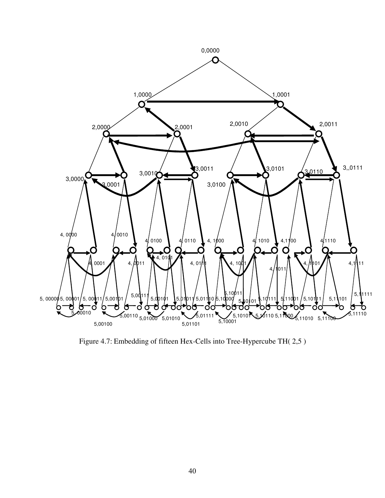

Figure 4.7: Embedding of fifteen Hex-Cells into Tree-Hypercube TH( 2,5 )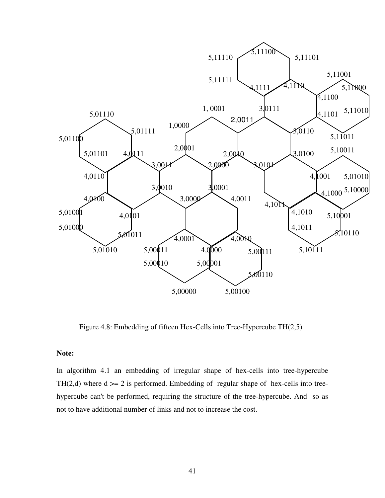

Figure 4.8: Embedding of fifteen Hex-Cells into Tree-Hypercube TH(2,5)

### **Note:**

In algorithm 4.1 an embedding of irregular shape of hex-cells into tree-hypercube  $TH(2,d)$  where  $d \geq 2$  is performed. Embedding of regular shape of hex-cells into treehypercube can't be performed, requiring the structure of the tree-hypercube. And so as not to have additional number of links and not to increase the cost.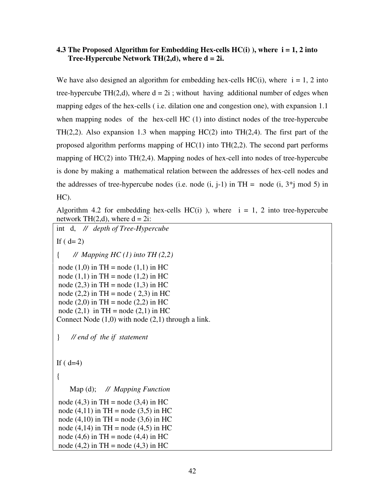### **4.3 The Proposed Algorithm for Embedding Hex-cells HC(i) ), where i = 1, 2 into Tree-Hypercube Network TH(2,d), where d = 2i.**

We have also designed an algorithm for embedding hex-cells  $HC(i)$ , where  $i = 1, 2$  into tree-hypercube TH $(2,d)$ , where  $d = 2i$ ; without having additional number of edges when mapping edges of the hex-cells ( i.e. dilation one and congestion one), with expansion 1.1 when mapping nodes of the hex-cell HC (1) into distinct nodes of the tree-hypercube TH $(2,2)$ . Also expansion 1.3 when mapping HC $(2)$  into TH $(2,4)$ . The first part of the proposed algorithm performs mapping of  $HC(1)$  into  $TH(2,2)$ . The second part performs mapping of  $HC(2)$  into TH $(2,4)$ . Mapping nodes of hex-cell into nodes of tree-hypercube is done by making a mathematical relation between the addresses of hex-cell nodes and the addresses of tree-hypercube nodes (i.e. node (i, j-1) in TH = node (i,  $3\cdot i$  mod 5) in HC).

Algorithm 4.2 for embedding hex-cells  $HC(i)$ ), where  $i = 1, 2$  into tree-hypercube network TH $(2,d)$ , where  $d = 2i$ :

```
int d, // depth of Tree-Hypercube
If (d=2){ // Mapping HC (1) into TH (2,2)
node (1,0) in TH = node (1,1) in HC
node (1,1) in TH = node (1,2) in HC
node (2,3) in TH = node (1,3) in HC
node (2,2) in TH = node (2,3) in HC
node (2,0) in TH = node (2,2) in HC
node (2,1) in TH = node (2,1) in HC
Connect Node (1,0) with node (2,1) through a link.
} // end of the if statement
If (d=4){ 
     Map (d); // Mapping Function 
node (4,3) in TH = node (3,4) in HC
node (4,11) in TH = node (3,5) in HC
node (4,10) in TH = node (3,6) in HC
node (4,14) in TH = node (4,5) in HC
node (4,6) in TH = node (4,4) in HC
node (4,2) in TH = node (4,3) in HC
```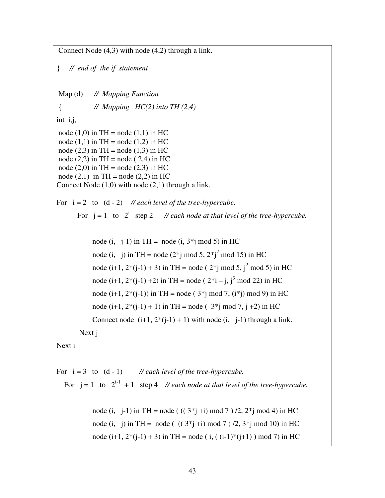```
 Connect Node (4,3) with node (4,2) through a link.
} // end of the if statement 
 Map (d) // Mapping Function 
 { // Mapping HC(2) into TH (2,4) 
int i,j, 
node (1,0) in TH = node (1,1) in HC
node (1,1) in TH = node (1,2) in HC
node (2,3) in TH = node (1,3) in HC
node (2,2) in TH = node (2,4) in HC
node (2,0) in TH = node (2,3) in HC
node (2,1) in TH = node (2,2) in HC
Connect Node (1,0) with node (2,1) through a link.
 For i = 2 to (d - 2) // each level of the tree-hypercube.
For j = 1 to 2^{i} step 2 // each node at that level of the tree-hypercube.
           node (i, i-1) in TH = node (i, 3 \times i mod 5) in HC
node (i, j) in TH = node (2^*j \mod 5, 2^*j^2 \mod 15) in HC
node (i+1, 2*(j-1) + 3) in TH = node ( 2*j mod 5, j^2 mod 5) in HC
node (i+1, 2*(j-1) + 2) in TH = node ( 2* i - j, j^3 mod 22) in HC
            node (i+1, 2^*(j-1)) in TH = node (3<sup>*</sup>j mod 7, (i^*)) mod 9) in HC
            node (i+1, 2^*(i-1) + 1) in TH = node ( 3^*j mod 7, j + 2) in HC
           Connect node (i+1, 2*(i-1) + 1) with node (i, i-1) through a link.
       Next j 
Next i
For i = 3 to (d - 1) // each level of the tree-hypercube. 
  For i = 1 to 2^{i-1} + 1 step 4 // each node at that level of the tree-hypercube.
           node (i, j-1) in TH = node ( ((3<sup>*</sup>j +i) \mod 7) /2, 2<sup>*</sup>j \mod 4) in HC
           node (i, j) in TH = node ( ((3^*j + i) \mod 7)/2, 3^*j \mod 10) in HC
            node (i+1, 2^*(i-1) + 3) in TH = node ( i, ( (i-1)^*(i+1) ) mod 7) in HC
```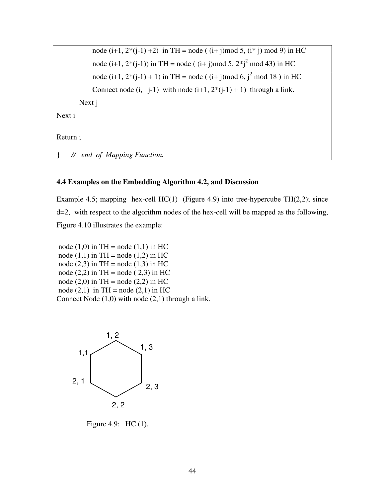```
node (i+1, 2^*(i-1) + 2) in TH = node ((i+ j) mod 5, (i * j) mod 9) in HC
node (i+1, 2*(j-1)) in TH = node ((i+j)mod 5, 2*j^2 mod 43) in HC
node (i+1, 2*(j-1) + 1) in TH = node ((i+j)mod 6, j^2 mod 18) in HC
           Connect node (i, j-1) with node (i+1, 2^*(j-1) + 1) through a link.
       Next j 
Next i
Return ;
```
} *// end of Mapping Function.*

### **4.4 Examples on the Embedding Algorithm 4.2, and Discussion**

Example 4.5; mapping hex-cell  $HC(1)$  (Figure 4.9) into tree-hypercube TH(2,2); since d=2, with respect to the algorithm nodes of the hex-cell will be mapped as the following, Figure 4.10 illustrates the example:

node  $(1,0)$  in TH = node  $(1,1)$  in HC node  $(1,1)$  in TH = node  $(1,2)$  in HC node  $(2,3)$  in TH = node  $(1,3)$  in HC node  $(2,2)$  in TH = node  $(2,3)$  in HC node  $(2,0)$  in TH = node  $(2,2)$  in HC node  $(2,1)$  in TH = node  $(2,1)$  in HC Connect Node (1,0) with node (2,1) through a link.



Figure 4.9: HC (1).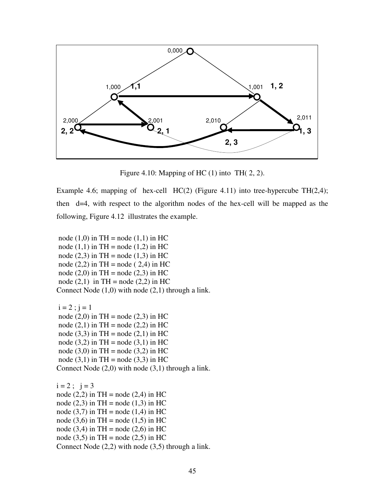

Figure 4.10: Mapping of HC  $(1)$  into TH $(2, 2)$ .

Example 4.6; mapping of hex-cell  $HC(2)$  (Figure 4.11) into tree-hypercube TH $(2,4)$ ; then d=4, with respect to the algorithm nodes of the hex-cell will be mapped as the following, Figure 4.12 illustrates the example.

node  $(1,0)$  in TH = node  $(1,1)$  in HC node  $(1,1)$  in TH = node  $(1,2)$  in HC node  $(2,3)$  in TH = node  $(1,3)$  in HC node  $(2,2)$  in TH = node  $(2,4)$  in HC node  $(2,0)$  in TH = node  $(2,3)$  in HC node  $(2,1)$  in TH = node  $(2,2)$  in HC Connect Node  $(1,0)$  with node  $(2,1)$  through a link.

 $i = 2$ ;  $i = 1$ node  $(2,0)$  in TH = node  $(2,3)$  in HC node  $(2,1)$  in TH = node  $(2,2)$  in HC node  $(3,3)$  in TH = node  $(2,1)$  in HC node  $(3,2)$  in TH = node  $(3,1)$  in HC node  $(3,0)$  in TH = node  $(3,2)$  in HC node  $(3,1)$  in TH = node  $(3,3)$  in HC Connect Node  $(2,0)$  with node  $(3,1)$  through a link.

 $i = 2$ ;  $j = 3$ node  $(2,2)$  in TH = node  $(2,4)$  in HC node  $(2,3)$  in TH = node  $(1,3)$  in HC node  $(3,7)$  in TH = node  $(1,4)$  in HC node  $(3,6)$  in TH = node  $(1,5)$  in HC node  $(3,4)$  in TH = node  $(2,6)$  in HC node  $(3,5)$  in TH = node  $(2,5)$  in HC Connect Node (2,2) with node (3,5) through a link.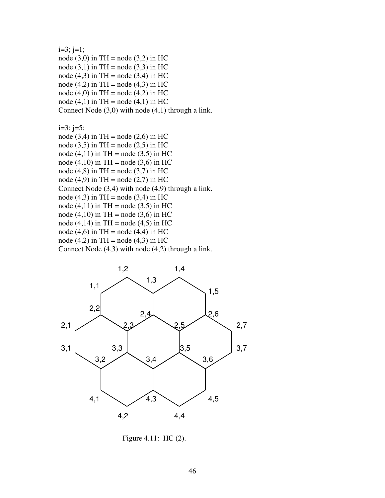$i=3$ ;  $j=1$ ; node  $(3,0)$  in TH = node  $(3,2)$  in HC node  $(3,1)$  in TH = node  $(3,3)$  in HC node  $(4,3)$  in TH = node  $(3,4)$  in HC node  $(4,2)$  in TH = node  $(4,3)$  in HC node  $(4,0)$  in TH = node  $(4,2)$  in HC node  $(4,1)$  in TH = node  $(4,1)$  in HC Connect Node  $(3,0)$  with node  $(4,1)$  through a link.

 $i=3$ ;  $j=5$ ;

node  $(3,4)$  in TH = node  $(2,6)$  in HC node  $(3,5)$  in TH = node  $(2,5)$  in HC node  $(4,11)$  in TH = node  $(3,5)$  in HC node  $(4,10)$  in TH = node  $(3,6)$  in HC node  $(4,8)$  in TH = node  $(3,7)$  in HC node  $(4,9)$  in TH = node  $(2,7)$  in HC Connect Node (3,4) with node (4,9) through a link. node  $(4,3)$  in TH = node  $(3,4)$  in HC node  $(4,11)$  in TH = node  $(3,5)$  in HC node (4,10) in TH = node (3,6) in HC node (4,14) in TH = node (4,5) in HC node (4,6) in TH = node (4,4) in HC node  $(4,2)$  in TH = node  $(4,3)$  in HC Connect Node (4,3) with node (4,2) through a link.



Figure 4.11: HC (2).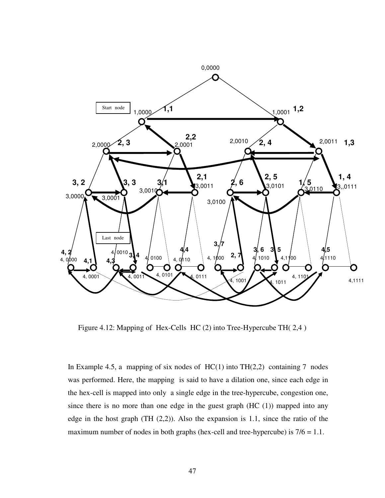

Figure 4.12: Mapping of Hex-Cells HC (2) into Tree-Hypercube TH( 2,4 )

In Example 4.5, a mapping of six nodes of  $HC(1)$  into  $TH(2,2)$  containing 7 nodes was performed. Here, the mapping is said to have a dilation one, since each edge in the hex-cell is mapped into only a single edge in the tree-hypercube, congestion one, since there is no more than one edge in the guest graph  $(HC (1))$  mapped into any edge in the host graph (TH (2,2)). Also the expansion is 1.1, since the ratio of the maximum number of nodes in both graphs (hex-cell and tree-hypercube) is  $7/6 = 1.1$ .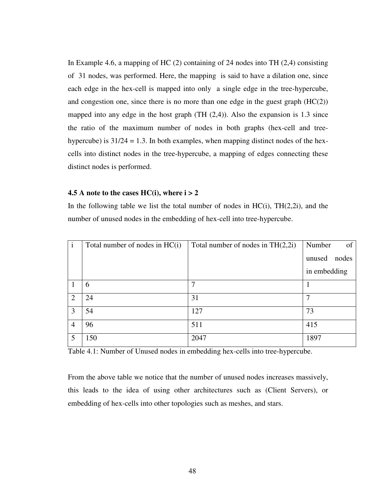In Example 4.6, a mapping of HC (2) containing of 24 nodes into TH (2,4) consisting of 31 nodes, was performed. Here, the mapping is said to have a dilation one, since each edge in the hex-cell is mapped into only a single edge in the tree-hypercube, and congestion one, since there is no more than one edge in the guest graph (HC(2)) mapped into any edge in the host graph  $(TH (2,4))$ . Also the expansion is 1.3 since the ratio of the maximum number of nodes in both graphs (hex-cell and treehypercube) is  $31/24 = 1.3$ . In both examples, when mapping distinct nodes of the hexcells into distinct nodes in the tree-hypercube, a mapping of edges connecting these distinct nodes is performed.

### **4.5** A note to the cases  $HC(i)$ , where  $i > 2$

In the following table we list the total number of nodes in  $HC(i)$ ,  $TH(2,2i)$ , and the number of unused nodes in the embedding of hex-cell into tree-hypercube.

| $\bf{1}$       | Total number of nodes in $HC(i)$ | Total number of nodes in $TH(2,2i)$ | Number<br>of    |
|----------------|----------------------------------|-------------------------------------|-----------------|
|                |                                  |                                     | nodes<br>unused |
|                |                                  |                                     | in embedding    |
|                | 6                                | 7                                   |                 |
| $\overline{2}$ | 24                               | 31                                  |                 |
| 3              | 54                               | 127                                 | 73              |
| $\overline{4}$ | 96                               | 511                                 | 415             |
| 5              | 150                              | 2047                                | 1897            |

Table 4.1: Number of Unused nodes in embedding hex-cells into tree-hypercube.

From the above table we notice that the number of unused nodes increases massively, this leads to the idea of using other architectures such as (Client Servers), or embedding of hex-cells into other topologies such as meshes, and stars.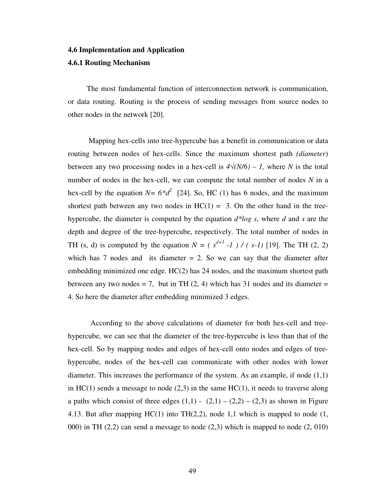# **4.6 Implementation and Application**

### **4.6.1 Routing Mechanism**

 The most fundamental function of interconnection network is communication, or data routing. Routing is the process of sending messages from source nodes to other nodes in the network [20].

 Mapping hex-cells into tree-hypercube has a benefit in communication or data routing between nodes of hex-cells. Since the maximum shortest path *(diameter*) between any two processing nodes in a hex-cell is  $4\sqrt{(N/6)} - 1$ , where N is the total number of nodes in the hex-cell, we can compute the total number of nodes *N* in a hex-cell by the equation  $N = 6 \times d^2$  [24]. So, HC (1) has 6 nodes, and the maximum shortest path between any two nodes in  $HC(1) = 3$ . On the other hand in the treehypercube, the diameter is computed by the equation *d\*log s*, where *d* and *s* are the depth and degree of the tree-hypercube, respectively. The total number of nodes in TH (s, d) is computed by the equation  $N = (s^{d+1} - 1) / (s-1)$  [19]. The TH (2, 2) which has  $7$  nodes and its diameter  $= 2$ . So we can say that the diameter after embedding minimized one edge. HC(2) has 24 nodes, and the maximum shortest path between any two nodes  $= 7$ , but in TH (2, 4) which has 31 nodes and its diameter  $=$ 4. So here the diameter after embedding minimized 3 edges.

 According to the above calculations of diameter for both hex-cell and treehypercube, we can see that the diameter of the tree-hypercube is less than that of the hex-cell. So by mapping nodes and edges of hex-cell onto nodes and edges of treehypercube, nodes of the hex-cell can communicate with other nodes with lower diameter. This increases the performance of the system. As an example, if node (1,1) in  $HC(1)$  sends a message to node  $(2,3)$  in the same  $HC(1)$ , it needs to traverse along a paths which consist of three edges  $(1,1)$  -  $(2,1)$  -  $(2,2)$  -  $(2,3)$  as shown in Figure 4.13. But after mapping HC(1) into TH(2,2), node 1,1 which is mapped to node (1, 000) in TH (2,2) can send a message to node (2,3) which is mapped to node (2, 010)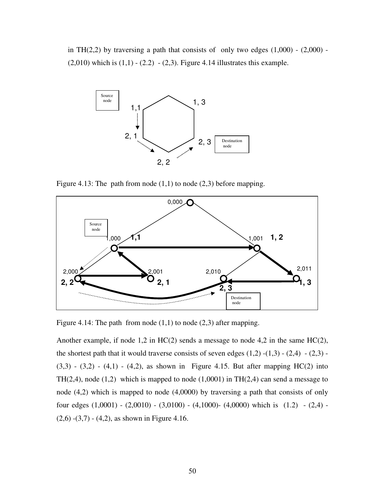in TH $(2,2)$  by traversing a path that consists of only two edges  $(1,000)$  -  $(2,000)$  - $(2,010)$  which is  $(1,1) - (2,2) - (2,3)$ . Figure 4.14 illustrates this example.



Figure 4.13: The path from node  $(1,1)$  to node  $(2,3)$  before mapping.



Figure 4.14: The path from node  $(1,1)$  to node  $(2,3)$  after mapping.

Another example, if node 1,2 in HC(2) sends a message to node 4,2 in the same HC(2), the shortest path that it would traverse consists of seven edges  $(1,2)$  - $(1,3)$  -  $(2,4)$  -  $(2,3)$  - $(3,3) - (3,2) - (4,1) - (4,2)$ , as shown in Figure 4.15. But after mapping HC(2) into  $TH(2,4)$ , node  $(1,2)$  which is mapped to node  $(1,0001)$  in TH $(2,4)$  can send a message to node (4,2) which is mapped to node (4,0000) by traversing a path that consists of only four edges  $(1,0001) - (2,0010) - (3,0100) - (4,1000) - (4,0000)$  which is  $(1.2) - (2,4)$  $(2,6)$  - $(3,7)$  -  $(4,2)$ , as shown in Figure 4.16.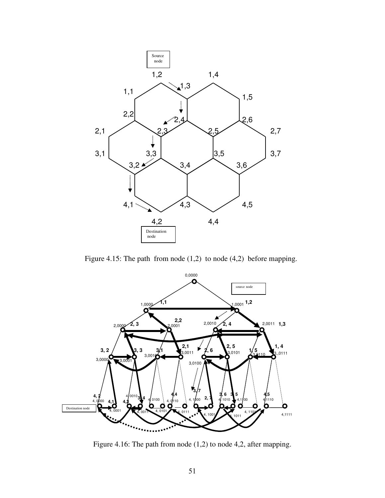

Figure 4.15: The path from node (1,2) to node (4,2) before mapping.



Figure 4.16: The path from node (1,2) to node 4,2, after mapping.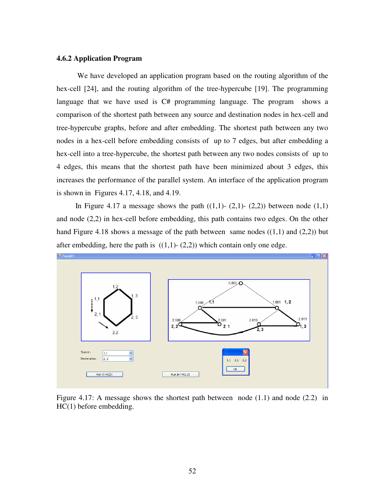### **4.6.2 Application Program**

 We have developed an application program based on the routing algorithm of the hex-cell [24], and the routing algorithm of the tree-hypercube [19]. The programming language that we have used is C# programming language. The program shows a comparison of the shortest path between any source and destination nodes in hex-cell and tree-hypercube graphs, before and after embedding. The shortest path between any two nodes in a hex-cell before embedding consists of up to 7 edges, but after embedding a hex-cell into a tree-hypercube, the shortest path between any two nodes consists of up to 4 edges, this means that the shortest path have been minimized about 3 edges, this increases the performance of the parallel system. An interface of the application program is shown in Figures 4.17, 4.18, and 4.19.

In Figure 4.17 a message shows the path  $((1,1)-(2,1)-(2,2))$  between node  $(1,1)$ and node (2,2) in hex-cell before embedding, this path contains two edges. On the other hand Figure 4.18 shows a message of the path between same nodes  $((1,1)$  and  $(2,2))$  but after embedding, here the path is  $((1,1)-(2,2))$  which contain only one edge.



Figure 4.17: A message shows the shortest path between node (1.1) and node (2.2) in HC(1) before embedding.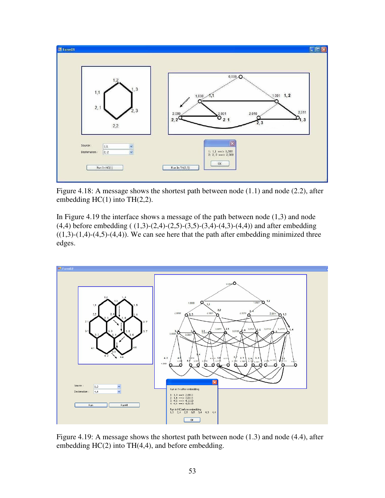

Figure 4.18: A message shows the shortest path between node (1.1) and node (2.2), after embedding  $HC(1)$  into TH $(2,2)$ .

In Figure 4.19 the interface shows a message of the path between node (1,3) and node  $(4,4)$  before embedding  $((1,3)-(2,4)-(2,5)-(3,5)-(3,4)-(4,3)-(4,4))$  and after embedding  $((1,3)-(1,4)-(4,5)-(4,4))$ . We can see here that the path after embedding minimized three edges.



Figure 4.19: A message shows the shortest path between node (1.3) and node (4.4), after embedding HC(2) into TH(4,4), and before embedding.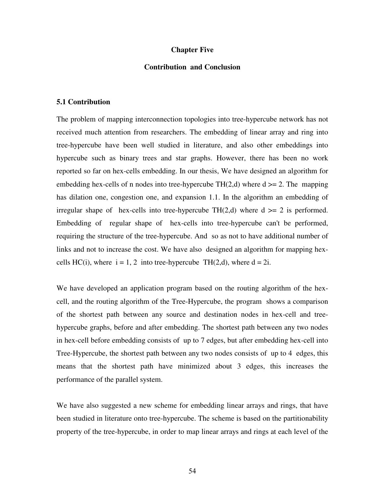### **Chapter Five**

### **Contribution and Conclusion**

### **5.1 Contribution**

The problem of mapping interconnection topologies into tree-hypercube network has not received much attention from researchers. The embedding of linear array and ring into tree-hypercube have been well studied in literature, and also other embeddings into hypercube such as binary trees and star graphs. However, there has been no work reported so far on hex-cells embedding. In our thesis, We have designed an algorithm for embedding hex-cells of n nodes into tree-hypercube  $TH(2,d)$  where  $d \ge 2$ . The mapping has dilation one, congestion one, and expansion 1.1. In the algorithm an embedding of irregular shape of hex-cells into tree-hypercube  $TH(2,d)$  where  $d \geq 2$  is performed. Embedding of regular shape of hex-cells into tree-hypercube can't be performed, requiring the structure of the tree-hypercube. And so as not to have additional number of links and not to increase the cost. We have also designed an algorithm for mapping hexcells HC(i), where  $i = 1, 2$  into tree-hypercube TH(2,d), where  $d = 2i$ .

We have developed an application program based on the routing algorithm of the hexcell, and the routing algorithm of the Tree-Hypercube, the program shows a comparison of the shortest path between any source and destination nodes in hex-cell and treehypercube graphs, before and after embedding. The shortest path between any two nodes in hex-cell before embedding consists of up to 7 edges, but after embedding hex-cell into Tree-Hypercube, the shortest path between any two nodes consists of up to 4 edges, this means that the shortest path have minimized about 3 edges, this increases the performance of the parallel system.

We have also suggested a new scheme for embedding linear arrays and rings, that have been studied in literature onto tree-hypercube. The scheme is based on the partitionability property of the tree-hypercube, in order to map linear arrays and rings at each level of the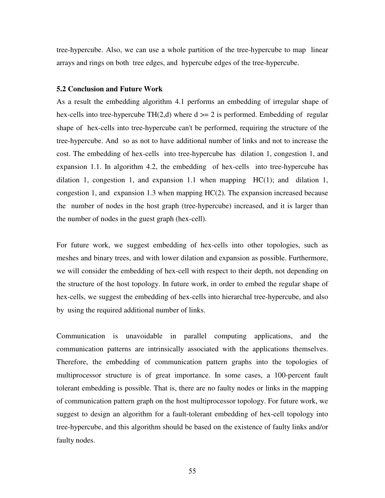tree-hypercube. Also, we can use a whole partition of the tree-hypercube to map linear arrays and rings on both tree edges, and hypercube edges of the tree-hypercube.

### **5.2 Conclusion and Future Work**

As a result the embedding algorithm 4.1 performs an embedding of irregular shape of hex-cells into tree-hypercube TH $(2,d)$  where  $d \ge 2$  is performed. Embedding of regular shape of hex-cells into tree-hypercube can't be performed, requiring the structure of the tree-hypercube. And so as not to have additional number of links and not to increase the cost. The embedding of hex-cells into tree-hypercube has dilation 1, congestion 1, and expansion 1.1. In algorithm 4.2, the embedding of hex-cells into tree-hypercube has dilation 1, congestion 1, and expansion 1.1 when mapping  $HC(1)$ ; and dilation 1, congestion 1, and expansion 1.3 when mapping HC(2). The expansion increased because the number of nodes in the host graph (tree-hypercube) increased, and it is larger than the number of nodes in the guest graph (hex-cell).

For future work, we suggest embedding of hex-cells into other topologies, such as meshes and binary trees, and with lower dilation and expansion as possible. Furthermore, we will consider the embedding of hex-cell with respect to their depth, not depending on the structure of the host topology. In future work, in order to embed the regular shape of hex-cells, we suggest the embedding of hex-cells into hierarchal tree-hypercube, and also by using the required additional number of links.

Communication is unavoidable in parallel computing applications, and the communication patterns are intrinsically associated with the applications themselves. Therefore, the embedding of communication pattern graphs into the topologies of multiprocessor structure is of great importance. In some cases, a 100-percent fault tolerant embedding is possible. That is, there are no faulty nodes or links in the mapping of communication pattern graph on the host multiprocessor topology. For future work, we suggest to design an algorithm for a fault-tolerant embedding of hex-cell topology into tree-hypercube, and this algorithm should be based on the existence of faulty links and/or faulty nodes.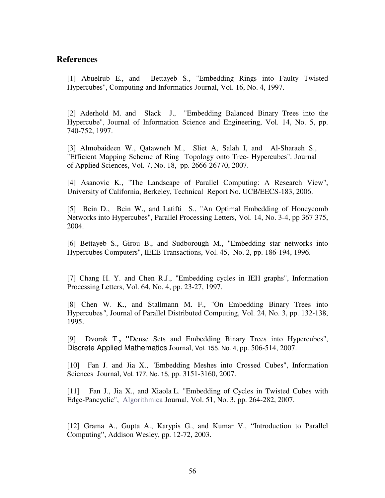## **References**

[1] Abuelrub E., and Bettayeb S., "Embedding Rings into Faulty Twisted Hypercubes", Computing and Informatics Journal, Vol. 16, No. 4, 1997.

[2] Aderhold M. and Slack J., "Embedding Balanced Binary Trees into the Hypercube", Journal of Information Science and Engineering, Vol. 14, No. 5, pp. 740-752, 1997.

[3] Almobaideen W., Qatawneh M., Sliet A, Salah I, and Al-Sharaeh S., "Efficient Mapping Scheme of Ring Topology onto Tree- Hypercubes". Journal of Applied Sciences, Vol. 7, No. 18, pp. 2666-26770, 2007.

[4] Asanovic K*.*, "The Landscape of Parallel Computing: A Research View", University of California, Berkeley, Technical Report No. UCB/EECS-183, 2006.

[5] Bein D., Bein W., and Latifti S., "An Optimal Embedding of Honeycomb Networks into Hypercubes", Parallel Processing Letters, Vol. 14, No. 3-4, pp 367 375, 2004.

[6] Bettayeb S., Girou B., and Sudborough M., "Embedding star networks into Hypercubes Computers", IEEE Transactions, Vol. 45, No. 2, pp. 186-194, 1996.

[7] Chang H. Y. and Chen R.J., "Embedding cycles in IEH graphs", Information Processing Letters, Vol. 64, No. 4, pp. 23-27, 1997.

[8] Chen W. K., and Stallmann M. F., "On Embedding Binary Trees into Hypercubes*"*, Journal of Parallel Distributed Computing, Vol. 24, No. 3, pp. 132-138, 1995.

[9] Dvorak T.**, "**Dense Sets and Embedding Binary Trees into Hypercubes", Discrete Applied Mathematics Journal, Vol. 155, No. 4, pp. 506-514, 2007.

[10] Fan J. and Jia X., "Embedding Meshes into Crossed Cubes", Information Sciences Journal, Vol. 177, No. 15, pp. 3151-3160, 2007.

[11] Fan J., Jia X., and Xiaola L. "Embedding of Cycles in Twisted Cubes with Edge-Pancyclic", Algorithmica Journal, Vol. 51, No. 3, pp. 264-282, 2007.

[12] Grama A., Gupta A., Karypis G., and Kumar V., "Introduction to Parallel Computing", Addison Wesley, pp. 12-72, 2003.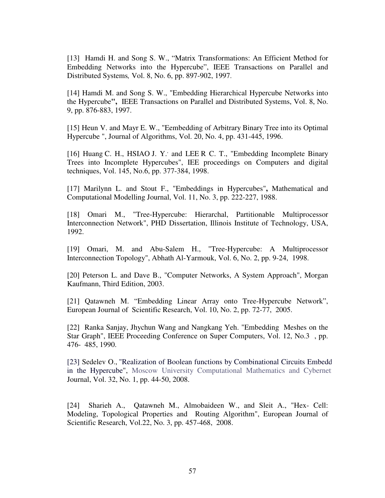[13] Hamdi H. and Song S. W., "Matrix Transformations: An Efficient Method for Embedding Networks into the Hypercube", IEEE Transactions on Parallel and Distributed Systems*,* Vol. 8, No. 6, pp. 897-902, 1997.

[14] Hamdi M. and Song S. W., "Embedding Hierarchical Hypercube Networks into the Hypercube**",** IEEE Transactions on Parallel and Distributed Systems, Vol. 8, No. 9, pp. 876-883, 1997.

[15] Heun V. and Mayr E. W., "Eembedding of Arbitrary Binary Tree into its Optimal Hypercube ", Journal of Algorithms, Vol. 20, No. 4, pp. 431-445, 1996.

[16] Huang C. H., HSIAO J. Y.' and LEE R C. T., "Embedding Incomplete Binary Trees into Incomplete Hypercubes", IEE proceedings on Computers and digital techniques, Vol. 145, No.6, pp. 377-384, 1998.

[17] Marilynn L. and Stout F., "Embeddings in Hypercubes"**,** Mathematical and Computational Modelling Journal, Vol. 11, No. 3, pp. 222-227, 1988.

[18] Omari M., "Tree-Hypercube: Hierarchal, Partitionable Multiprocessor Interconnection Network", PHD Dissertation, Illinois Institute of Technology, USA, 1992.

[19] Omari, M. and Abu-Salem H., "Tree-Hypercube: A Multiprocessor Interconnection Topology", Abhath Al-Yarmouk, Vol. 6, No. 2, pp. 9-24, 1998.

[20] Peterson L. and Dave B., "Computer Networks, A System Approach", Morgan Kaufmann, Third Edition, 2003.

[21] Qatawneh M. "Embedding Linear Array onto Tree-Hypercube Network", European Journal of Scientific Research, Vol. 10, No. 2, pp. 72-77, 2005.

[22] Ranka Sanjay, Jhychun Wang and Nangkang Yeh. "Embedding Meshes on the Star Graph", IEEE Proceeding Conference on Super Computers, Vol. 12, No.3 , pp. 476- 485, 1990.

[23] Sedelev O., "Realization of Boolean functions by Combinational Circuits Embedd in the Hypercube", Moscow University Computational Mathematics and Cybernetics Journal, Vol. 32, No. 1, pp. 44-50, 2008.

[24] Sharieh A., Qatawneh M., Almobaideen W., and Sleit A., "Hex- Cell: Modeling, Topological Properties and Routing Algorithm", European Journal of Scientific Research, Vol.22, No. 3, pp. 457-468, 2008.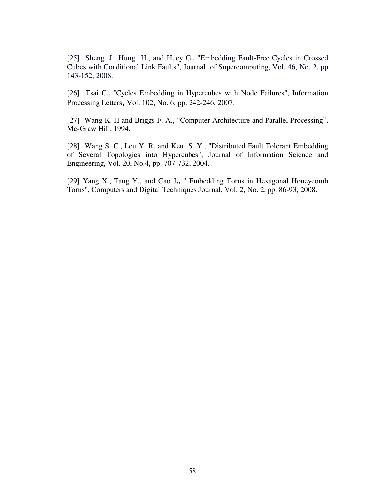[25] Sheng J., Hung H., and Huey G., "Embedding Fault-Free Cycles in Crossed Cubes with Conditional Link Faults", Journal of Supercomputing, Vol. 46, No. 2, pp 143-152, 2008.

[26] Tsai C., "Cycles Embedding in Hypercubes with Node Failures", Information Processing Letters, Vol. 102, No. 6, pp. 242-246, 2007.

[27] Wang K. H and Briggs F. A., "Computer Architecture and Parallel Processing", Mc-Graw Hill, 1994.

[28] Wang S. C., Leu Y. R. and Keu S. Y., "Distributed Fault Tolerant Embedding of Several Topologies into Hypercubes", Journal of Information Science and Engineering, Vol. 20, No.4, pp. 707-732, 2004.

[29] Yang X., Tang Y., and Cao J**.,** " Embedding Torus in Hexagonal Honeycomb Torus", Computers and Digital Techniques Journal, Vol. 2, No. 2, pp. 86-93, 2008.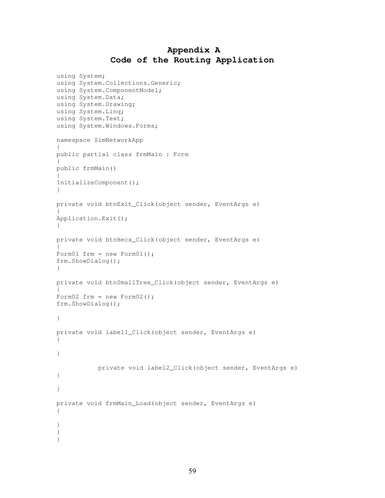## **Appendix A Code of the Routing Application**

```
using System; 
using System.Collections.Generic; 
using System.ComponentModel; 
using System.Data; 
using System.Drawing; 
using System.Linq; 
using System.Text; 
using System.Windows.Forms; 
namespace SimNetworkApp 
{ 
public partial class frmMain : Form 
{ 
public frmMain() 
{ 
InitializeComponent(); 
} 
private void btnExit_Click(object sender, EventArgs e) 
{ 
Application.Exit(); 
} 
private void btnHecx_Click(object sender, EventArgs e) 
{ 
Form01 frm = new Form01();
frm.ShowDialog(); 
} 
private void btnSmallTree_Click(object sender, EventArgs e) 
{ 
Form02 frm = new Form02();
frm.ShowDialog(); 
} 
private void label1_Click(object sender, EventArgs e) 
{ 
} 
            private void label2_Click(object sender, EventArgs e) 
{ 
} 
private void frmMain_Load(object sender, EventArgs e) 
{ 
} 
} 
}
```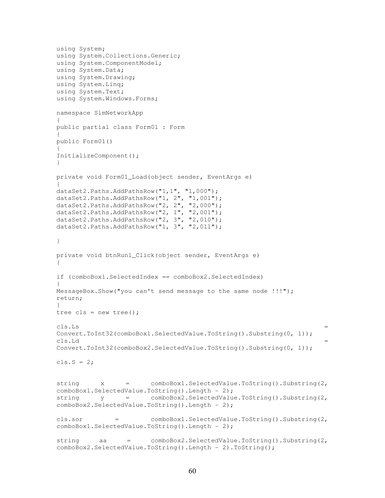```
using System; 
using System.Collections.Generic; 
using System.ComponentModel; 
using System.Data; 
using System.Drawing; 
using System.Linq; 
using System.Text; 
using System.Windows.Forms; 
namespace SimNetworkApp 
{ 
public partial class Form01 : Form 
{ 
public Form01() 
{ 
InitializeComponent(); 
} 
private void Form01_Load(object sender, EventArgs e) 
{ 
dataSet2.Paths.AddPathsRow("1,1", "1,000");
dataSet2.Paths.AddPathsRow("1, 2", "1,001");
dataSet2.Paths.AddPathsRow("2, 2", "2,000");
dataSet2.Paths.AddPathsRow("2, 1", "2,001"); 
dataSet2.Paths.AddPathsRow("2, 3", "2,010"); 
dataSet2.Paths.AddPathsRow("1, 3", "2,011");
} 
private void btnRun1_Click(object sender, EventArgs e) 
{ 
if (comboBox1.SelectedIndex == comboBox2.SelectedIndex) 
{ 
MessageBox.Show("you can't send message to the same node !!!"); 
return; 
} 
tree cls = new tree();
\mathsf{cls}. \mathsf{Ls} =
Convert.ToInt32(comboBox1.SelectedValue.ToString().Substring(0, 1)); 
\mathsf{cls.Ld} =
Convert.ToInt32(comboBox2.SelectedValue.ToString().Substring(0, 1)); 
cls.S = 2;string x = comboBox1.SelectedValue.ToString().Substring(2,
comboBox1.SelectedValue.ToString().Length - 2); 
string y = comboBox2.SelectedValue.ToString().Substring(2, 
comboBox2.SelectedValue.ToString().Length - 2); 
cls.sor = comboBox1.SelectedValue.ToString().Substring(2, 
comboBox1.SelectedValue.ToString().Length - 2); 
string aa = comboBox2.SelectedValue.ToString().Substring(2,
comboBox2.SelectedValue.ToString().Length - 2).ToString();
```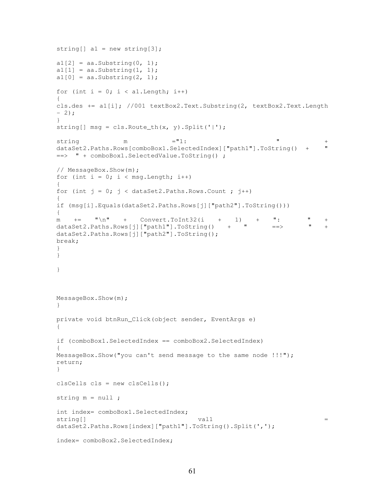```
string[] a1 = new string[3];a1[2] = aa.Substring(0, 1);a1[1] = aa.Substring(1, 1);a1[0] = aa.Substring(2, 1);for (int i = 0; i < a1. Length; i++)
{ 
cls.des += a1[i]; //001 textBox2.Text.Substring(2, textBox2.Text.Length 
-2) ;
} 
string[] msq = cls.Route_th(x, y).Split('|');
string m = "1: +dataSet2.Paths.Rows[comboBox1.SelectedIndex]["path1"].ToString() + " 
==> " + \text{comboBox1.SelectedValue.ToString()}// MessageBox.Show(m); 
for (int i = 0; i < msg.length; i++){ 
for (int j = 0; j < dataSet2. Paths. Rows. Count ; j++){ 
if (msg[i].Equals(dataSet2.Paths.Rows[j]["path2"].ToString())) 
{ 
m += "\n\ln" + Convert.ToInt32(i + 1) + ": " +
dataSet2.Paths.Rows[j]["path1"].ToString() + " ==> " +
dataSet2.Paths.Rows[j]["path2"].ToString();
break; 
} 
} 
} 
MessageBox.Show(m); 
} 
private void btnRun_Click(object sender, EventArgs e) 
{ 
if (comboBox1.SelectedIndex == comboBox2.SelectedIndex) 
{ 
MessageBox.Show("you can't send message to the same node !!!"); 
return; 
} 
clsCells cls = new clsCells() ;
string m = null ; 
int index= comboBox1.SelectedIndex; 
string[] val1 =
dataSet2.Paths.Rows[index]["path1"].ToString().Split(',');
index= comboBox2.SelectedIndex;
```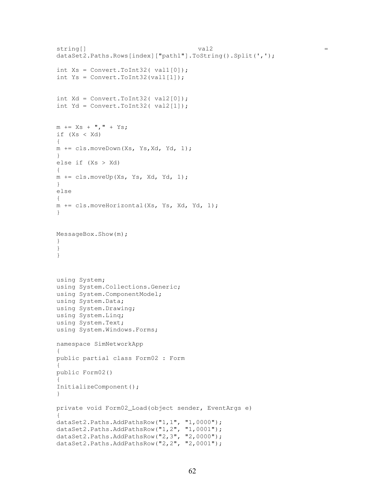```
string[] val2 =
dataSet2.Paths.Rows[index]["path1"].ToString().Split(',');
int Xs = Convert.Tolnt32(vall[0]);int Ys = Convert.Tolnt32(vall[1]);int Xd = Convert.ToInt32( val2[0]); 
int Yd = Convert.ToInt32(val2[1]);
m += Xs + ", " + Ys;if (Xs < Xd) 
{ 
m += cls.moveDown(Xs, Ys,Xd, Yd, 1); 
} 
else if (Xs > Xd) 
{ 
m += cls.moveUp(Xs, Ys, Xd, Yd, 1); 
} 
else 
{ 
m += cls.moveHorizontal(Xs, Ys, Xd, Yd, 1); 
} 
MessageBox.Show(m); 
} 
} 
}
using System; 
using System.Collections.Generic; 
using System.ComponentModel; 
using System.Data; 
using System.Drawing; 
using System.Linq; 
using System.Text; 
using System.Windows.Forms; 
namespace SimNetworkApp 
{ 
public partial class Form02 : Form 
{ 
public Form02() 
{ 
InitializeComponent(); 
} 
private void Form02_Load(object sender, EventArgs e) 
{ 
dataSet2.Paths.AddPathsRow("1,1", "1,0000");
dataSet2.Paths.AddPathsRow("1,2", "1,0001");
dataSet2.Paths.AddPathsRow("2,3", "2,0000");
dataSet2.Paths.AddPathsRow("2,2", "2,0001");
```

```
62
```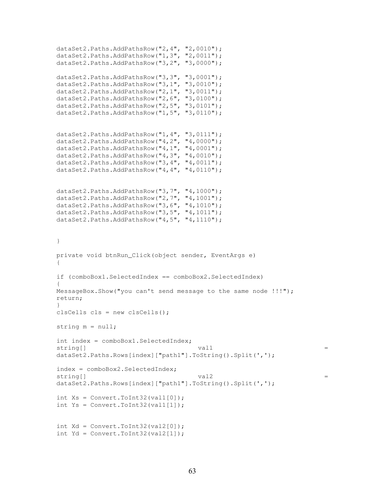```
dataSet2.Paths.AddPathsRow("2,4", "2,0010"); 
dataSet2.Paths.AddPathsRow("1,3", "2,0011");
dataSet2.Paths.AddPathsRow("3,2", "3,0000");
dataSet2.Paths.AddPathsRow("3,3", "3,0001");
dataSet2.Paths.AddPathsRow("3,1", "3,0010"); 
dataSet2.Paths.AddPathsRow("2,1", "3,0011");
dataSet2.Paths.AddPathsRow("2,6", "3,0100");
dataSet2.Paths.AddPathsRow("2,5", "3,0101");
dataSet2.Paths.AddPathsRow("1,5", "3,0110");
dataSet2.Paths.AddPathsRow("1,4", "3,0111");
dataSet2.Paths.AddPathsRow("4,2", "4,0000");
dataSet2.Paths.AddPathsRow("4,1", "4,0001");
dataSet2.Paths.AddPathsRow("4,3", "4,0010");
dataSet2.Paths.AddPathsRow("3, 4", "4,0011");
dataSet2.Paths.AddPathsRow("4,4", "4,0110");
dataSet2.Paths.AddPathsRow("3,7", "4,1000"); 
dataSet2.Paths.AddPathsRow("2,7", "4,1001");
dataSet2.Paths.AddPathsRow("3,6", "4,1010");
dataSet2.Paths.AddPathsRow("3,5", "4,1011");
dataSet2.Paths.AddPathsRow("4,5", "4,1110");
} 
private void btnRun_Click(object sender, EventArgs e) 
{ 
if (comboBox1.SelectedIndex == comboBox2.SelectedIndex) 
{ 
MessageBox.Show("you can't send message to the same node !!!"); 
return; 
} 
clsCells cls = new clsCells(); 
string m = null;
int index = comboBox1.SelectedIndex; 
string[] val1 =
dataSet2.Paths.Rows[index]["path1"].ToString().Split(','); 
index = comboBox2.SelectedIndex; 
string[] val2 =dataSet2.Paths.Rows[index]["path1"].ToString().Split(','); 
int Xs = Convert. ToInt32(val1[0]);
int Ys = Convert.ToInt32(val1[1]);
int Xd = Convert. ToInt32 (val2[0]);
int Yd = Convert.Foth32(vall11);
```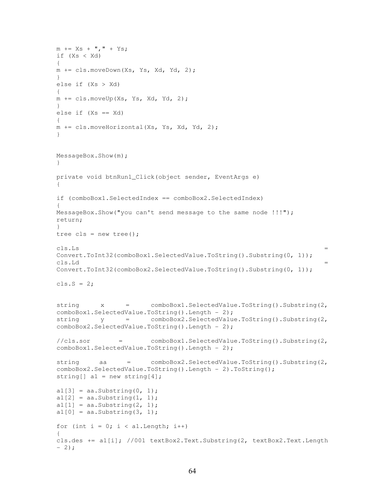```
m += Xs + ", " + Ys;if (Xs < Xd) 
{ 
m += cls.moveDown(Xs, Ys, Xd, Yd, 2); 
} 
else if (Xs > Xd) 
{ 
m += cls.moveUp(Xs, Ys, Xd, Yd, 2); 
} 
else if (Xs == Xd){
m += cls.moveHorizontal(Xs, Ys, Xd, Yd, 2); 
} 
MessageBox.Show(m); 
} 
private void btnRun1_Click(object sender, EventArgs e) 
{ 
if (comboBox1.SelectedIndex == comboBox2.SelectedIndex) 
{ 
MessageBox.Show("you can't send message to the same node !!!"); 
return; 
} 
tree cls = new tree();
\mathcal{L}s.Ls =Convert.ToInt32(comboBox1.SelectedValue.ToString().Substring(0, 1)); 
\mathsf{cls.Ld} =
Convert.ToInt32(comboBox2.SelectedValue.ToString().Substring(0, 1)); 
cls.S = 2;string x = comboBox1.SelectedValue.ToString().Substring(2,
comboBox1.SelectedValue.ToString().Length - 2); 
string y = comboBox2.SelectedValue.ToString().Substring(2,
comboBox2.SelectedValue.ToString().Length - 2); 
//cls.sor = comboBox1.SelectedValue.ToString().Substring(2, 
comboBox1.SelectedValue.ToString().Length - 2); 
string aa = comboBox2.SelectedValue.ToString().Substring(2,
comboBox2.SelectedValue.ToString().Length - 2).ToString(); 
string[] a1 = new string[4];
a1[3] = aa. Substring (0, 1);
a1[2] = aa.Substring(1, 1);al[1] = aa. Substring(2, 1);
a1[0] = aa.Substring(3, 1);for (int i = 0; i < a1. Length; i++)
{ 
cls.des += a1[i]; //001 textBox2.Text.Substring(2, textBox2.Text.Length 
-2) ;
```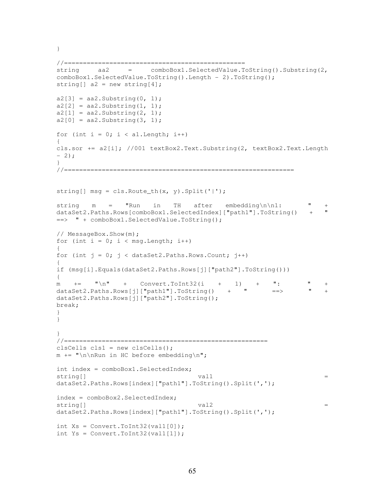}

```
//================================================ 
string aa2 = comboBox1.SelectedValue.ToString().Substring(2,
comboBox1.SelectedValue.ToString().Length - 2).ToString(); 
string \lceil a2 = new string \lceil 4 \rceil;
a2[3] = aa2.Substring(0, 1);a2[2] = aa2.Substring(1, 1);a2[1] = aa2.Substring(2, 1);a2[0] = aa2.Substring(3, 1);for (int i = 0; i < a1. Length; i++)
{ 
cls.sor += a2[i]; //001 textBox2.Text.Substring(2, textBox2.Text.Length 
- 2) ;
} 
//============================================================= 
string[] msq = cls. Route th(x, y). Split('|');
string m = "Run in TH after embedding\n\n1: " +
dataSet2.Paths.Rows[comboBox1.SelectedIndex]["path1"].ToString() + " 
==> " + comboBox1.SelectedValue.ToString(); 
// MessageBox.Show(m); 
for (int i = 0; i < mag. Length; i++){ 
for (int j = 0; j < dataSet2. Paths. Rows. Count; j++){ 
if (msg[i].Equals(dataSet2.Paths.Rows[j]["path2"].ToString())) 
{ 
m += \sqrt{n} + Convert.ToInt32(i + 1) + \sqrt{n}: \sqrt{n} + d + d + d + e + f + f + f + f + f + f + f + f + f + f + f + f + f + f + f + f + f + f + f + f + f + f + f + dataSet2.Paths.Rows[j]["path1"].ToString() + " ==>
dataSet2.Paths.Rows[j]["path2"].ToString();
break; 
} 
} 
} 
//====================================================== 
clsCells cls1 = new clsCells();
m += "\n\nRun in HC before embedding\n";
int index = comboBox1.SelectedIndex; 
string[] val1 =
dataSet2.Paths.Rows[index]["path1"].ToString().Split(',');
index = comboBox2.SelectedIndex; 
string[] val2 =dataSet2.Paths.Rows[index]["path1"].ToString().Split(','); 
int Xs = Convert. ToInt32(val1[0]);
int Ys = Convert.ToInt32(val1[1]);
```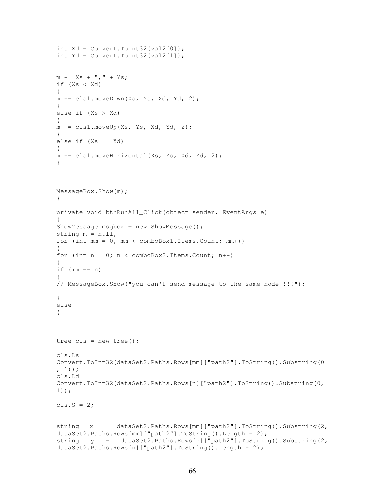```
int Xd = Convert. ToInt32(val2[0]);
int Yd = Convert.ToInt32(val2[1]); 
m += XS + ", " + Ys;if (Xs < Xd) 
{ 
m += cls1.moveDown(Xs, Ys, Xd, Yd, 2); 
} 
else if (Xs > Xd) 
{ 
m += cls1.moveUp(Xs, Ys, Xd, Yd, 2);
} 
else if (Xs == Xd) 
{ 
m += cls1.moveHorizontal(Xs, Ys, Xd, Yd, 2); 
} 
MessageBox.Show(m); 
} 
private void btnRunAll_Click(object sender, EventArgs e) 
{ 
ShowMessage msgbox = new ShowMessage();
string m = null;for (int mm = 0; mm < comboBox1.Items.Count; mm++)
{ 
for (int n = 0; n < comboBox2.Items.Count; n+1)
{ 
if (mm == n)
{ 
// MessageBox.Show("you can't send message to the same node !!!"); 
} 
else 
{ 
tree cls = new tree(); 
\mathsf{cls}. \mathsf{Ls} =
Convert.ToInt32(dataSet2.Paths.Rows[mm]["path2"].ToString().Substring(0
, 1)); 
\mathsf{cls.Ld} =
Convert.ToInt32(dataSet2.Paths.Rows[n]["path2"].ToString().Substring(0, 
1)); 
cls.S = 2;string x = dataSet2.Paths.Rows[mm]["path2"] .Tostring(), Substring(2,dataSet2.Paths.Rows[mm]["path2"].ToString().Length - 2);
string y = dataSet2.Paths.Rows[n]["path2"].ToString().Substring(2, 
dataSet2.Paths.Rows[n]["path2"].ToString().Length - 2);
```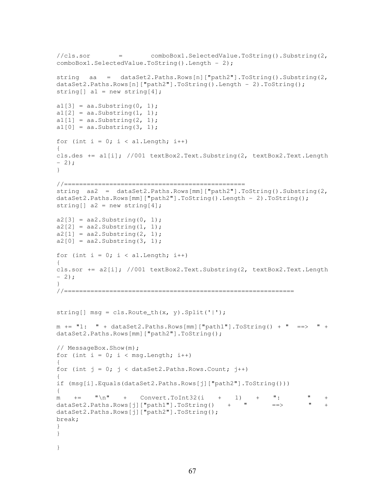```
// \text{cls.sor} = comboBox1.SelectedValue.ToString().Substring(2,
comboBox1.SelectedValue.ToString().Length - 2); 
string aa = dataSet2.Paths.Rows[n]["path2"].ToString().Substring(2,
dataSet2.Paths.Rows[n]["path2"].ToString().Length - 2).ToString(); 
string \lceil a1 = new string \lceil 4 \rceil;
a1[3] = aa.Substring(0, 1);a1[2] = aa.Substring(1, 1);a1[1] = aa.Substring(2, 1);a1[0] = aa. Substring (3, 1);
for (int i = 0; i < a1. Length; i++){ 
cls.des += a1[i]; //001 textBox2.Text.Substring(2, textBox2.Text.Length 
-2) ;
} 
//================================================ 
string aa2 = dataSet2.Paths.Rows[mm]["path2"].ToString().Substring(2,
dataSet2.Paths.Rows[mm]["path2"].ToString().Length - 2).ToString();
string[] a2 = new string[4];
a2[3] = aa2.Substring(0, 1);a2[2] = aa2.Substring(1, 1);a2[1] = aa2.Substring(2, 1);a2[0] = aa2.Substring(3, 1);for (int i = 0; i < al.length; i++){ 
cls.sor += a2[i]; //001 textBox2.Text.Substring(2, textBox2.Text.Length 
- 2) ;
} 
//============================================================= 
string \lceil \cdot \text{msg} \rceil = \text{cls.Route th}(x, y) \cdot \text{Split}(\lceil \cdot \rceil);m \leftarrow "1: " + dataset2.Paths.Rows[mm] ['path1"] .Tostring() + " ==> " +dataSet2.Paths.Rows[mm]["path2"].ToString();
// MessageBox.Show(m); 
for (int i = 0; i < mag. Length; i++){ 
for (int j = 0; j < dataSet2. Paths. Rows. Count; j++){ 
if (msg[i].Equals(dataSet2.Paths.Rows[j]["path2"].ToString())) 
{ 
m += "\n" + Convert.ToInt32(i + 1) + ": " + dataSet2.Paths.Rows[j]["path1"].ToString() + " ==> " +
dataSet2.Paths.Rows[j]["path1"].ToString()
dataSet2.Paths.Rows[j]["path2"].ToString();
break; 
} 
} 
}
```

```
67
```